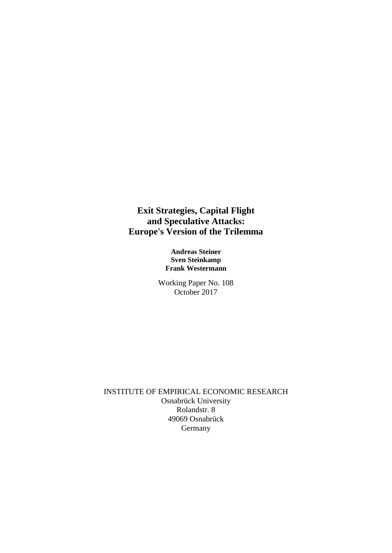**Exit Strategies, Capital Flight and Speculative Attacks: Europe's Version of the Trilemma**

> **Andreas Steiner Sven Steinkamp Frank Westermann**

Working Paper No. 108 October 2017

INSTITUTE OF EMPIRICAL ECONOMIC RESEARCH Osnabrück University Rolandstr. 8 49069 Osnabrück Germany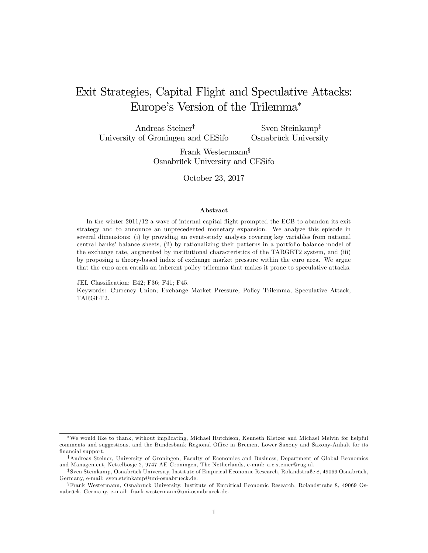# Exit Strategies, Capital Flight and Speculative Attacks: Europe's Version of the Trilemma<sup>\*</sup>

Andreas Steiner<sup>†</sup> University of Groningen and CESifo Sven Steinkamp<sup> $\ddag$ </sup> Osnabrück University

> Frank Westermann<sup>§</sup> Osnabrück University and CESifo

> > October 23, 2017

#### Abstract

In the winter  $2011/12$  a wave of internal capital flight prompted the ECB to abandon its exit strategy and to announce an unprecedented monetary expansion. We analyze this episode in several dimensions: (i) by providing an event-study analysis covering key variables from national central banks' balance sheets, (ii) by rationalizing their patterns in a portfolio balance model of the exchange rate, augmented by institutional characteristics of the TARGET2 system, and (iii) by proposing a theory-based index of exchange market pressure within the euro area. We argue that the euro area entails an inherent policy trilemma that makes it prone to speculative attacks.

JEL Classification: E42; F36; F41; F45.

Keywords: Currency Union; Exchange Market Pressure; Policy Trilemma; Speculative Attack; TARGET2.

We would like to thank, without implicating, Michael Hutchison, Kenneth Kletzer and Michael Melvin for helpful comments and suggestions, and the Bundesbank Regional Office in Bremen, Lower Saxony and Saxony-Anhalt for its financial support.

<sup>&</sup>lt;sup>†</sup>Andreas Steiner, University of Groningen, Faculty of Economics and Business, Department of Global Economics and Management, Nettelbosje 2, 9747 AE Groningen, The Netherlands, e-mail: a.c.steiner@rug.nl.

<sup>&</sup>lt;sup>‡</sup>Sven Steinkamp, Osnabrück University, Institute of Empirical Economic Research, Rolandstraße 8, 49069 Osnabrück, Germany, e-mail: sven.steinkamp@uni-osnabrueck.de.

 $\S$ Frank Westermann, Osnabrück University, Institute of Empirical Economic Research, Rolandstraße 8, 49069 Osnabrück, Germany, e-mail: frank.westermann@uni-osnabrueck.de.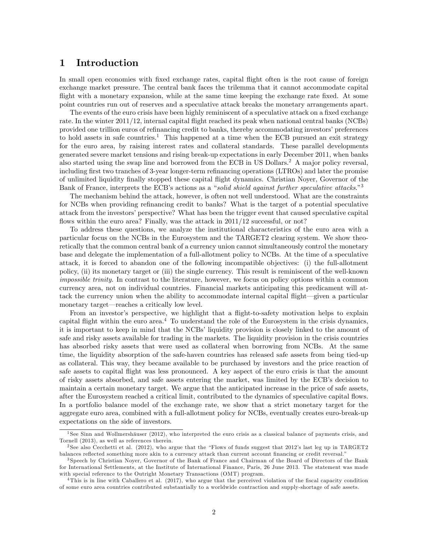## 1 Introduction

In small open economies with fixed exchange rates, capital flight often is the root cause of foreign exchange market pressure. The central bank faces the trilemma that it cannot accommodate capital flight with a monetary expansion, while at the same time keeping the exchange rate fixed. At some point countries run out of reserves and a speculative attack breaks the monetary arrangements apart.

The events of the euro crisis have been highly reminiscent of a speculative attack on a fixed exchange rate. In the winter 2011/12, internal capital áight reached its peak when national central banks (NCBs) provided one trillion euros of refinancing credit to banks, thereby accommodating investors' preferences to hold assets in safe countries.<sup>1</sup> This happened at a time when the ECB pursued an exit strategy for the euro area, by raising interest rates and collateral standards. These parallel developments generated severe market tensions and rising break-up expectations in early December 2011, when banks also started using the swap line and borrowed from the ECB in US Dollars.<sup>2</sup> A major policy reversal, including first two tranches of 3-year longer-term refinancing operations (LTROs) and later the promise of unlimited liquidity Önally stopped these capital áight dynamics. Christian Noyer, Governor of the Bank of France, interprets the ECB's actions as a "solid shield against further speculative attacks."<sup>3</sup>

The mechanism behind the attack, however, is often not well understood. What are the constraints for NCBs when providing refinancing credit to banks? What is the target of a potential speculative attack from the investors' perspective? What has been the trigger event that caused speculative capital flows within the euro area? Finally, was the attack in  $2011/12$  successful, or not?

To address these questions, we analyze the institutional characteristics of the euro area with a particular focus on the NCBs in the Eurosystem and the TARGET2 clearing system. We show theoretically that the common central bank of a currency union cannot simultaneously control the monetary base and delegate the implementation of a full-allotment policy to NCBs. At the time of a speculative attack, it is forced to abandon one of the following incompatible objectives: (i) the full-allotment policy, (ii) its monetary target or (iii) the single currency. This result is reminiscent of the well-known impossible trinity. In contrast to the literature, however, we focus on policy options within a common currency area, not on individual countries. Financial markets anticipating this predicament will attack the currency union when the ability to accommodate internal capital flight—given a particular monetary target—reaches a critically low level.

From an investor's perspective, we highlight that a flight-to-safety motivation helps to explain capital flight within the euro area. $4$  To understand the role of the Eurosystem in the crisis dynamics, it is important to keep in mind that the NCBs' liquidity provision is closely linked to the amount of safe and risky assets available for trading in the markets. The liquidity provision in the crisis countries has absorbed risky assets that were used as collateral when borrowing from NCBs. At the same time, the liquidity absorption of the safe-haven countries has released safe assets from being tied-up as collateral. This way, they became available to be purchased by investors and the price reaction of safe assets to capital áight was less pronounced. A key aspect of the euro crisis is that the amount of risky assets absorbed, and safe assets entering the market, was limited by the ECB's decision to maintain a certain monetary target. We argue that the anticipated increase in the price of safe assets, after the Eurosystem reached a critical limit, contributed to the dynamics of speculative capital áows. In a portfolio balance model of the exchange rate, we show that a strict monetary target for the aggregate euro area, combined with a full-allotment policy for NCBs, eventually creates euro-break-up expectations on the side of investors.

 $1$ See Sinn and Wollmershäuser (2012), who interpreted the euro crisis as a classical balance of payments crisis, and Tornell (2013), as well as references therein.

<sup>&</sup>lt;sup>2</sup> See also Cecchetti et al. (2012), who argue that the "Flows of funds suggest that 2012's last leg up in TARGET2 balances reflected something more akin to a currency attack than current account financing or credit reversal."

<sup>3</sup> Speech by Christian Noyer, Governor of the Bank of France and Chairman of the Board of Directors of the Bank for International Settlements, at the Institute of International Finance, Paris, 26 June 2013. The statement was made with special reference to the Outright Monetary Transactions (OMT) program.

 $4$ This is in line with Caballero et al. (2017), who argue that the perceived violation of the fiscal capacity condition of some euro area countries contributed substantially to a worldwide contraction and supply-shortage of safe assets.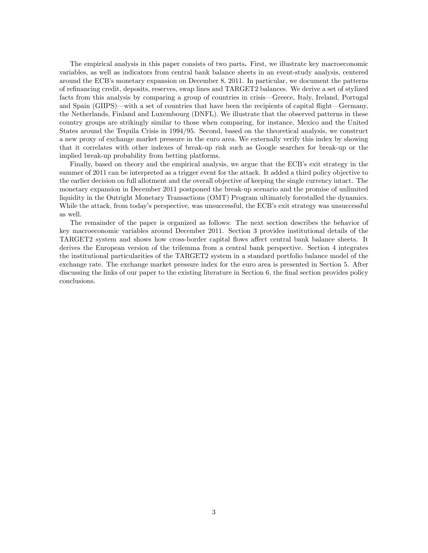The empirical analysis in this paper consists of two parts. First, we illustrate key macroeconomic variables, as well as indicators from central bank balance sheets in an event-study analysis, centered around the ECB's monetary expansion on December 8, 2011. In particular, we document the patterns of reÖnancing credit, deposits, reserves, swap lines and TARGET2 balances. We derive a set of stylized facts from this analysis by comparing a group of countries in crisis—Greece, Italy, Ireland, Portugal and Spain (GIIPS)—with a set of countries that have been the recipients of capital flight—Germany, the Netherlands, Finland and Luxembourg (DNFL). We illustrate that the observed patterns in these country groups are strikingly similar to those when comparing, for instance, Mexico and the United States around the Tequila Crisis in 1994/95. Second, based on the theoretical analysis, we construct a new proxy of exchange market pressure in the euro area. We externally verify this index by showing that it correlates with other indexes of break-up risk such as Google searches for break-up or the implied break-up probability from betting platforms.

Finally, based on theory and the empirical analysis, we argue that the ECB's exit strategy in the summer of 2011 can be interpreted as a trigger event for the attack. It added a third policy objective to the earlier decision on full allotment and the overall objective of keeping the single currency intact. The monetary expansion in December 2011 postponed the break-up scenario and the promise of unlimited liquidity in the Outright Monetary Transactions (OMT) Program ultimately forestalled the dynamics. While the attack, from today's perspective, was unsuccessful, the ECB's exit strategy was unsuccessful as well.

The remainder of the paper is organized as follows: The next section describes the behavior of key macroeconomic variables around December 2011. Section 3 provides institutional details of the TARGET2 system and shows how cross-border capital flows affect central bank balance sheets. It derives the European version of the trilemma from a central bank perspective. Section 4 integrates the institutional particularities of the TARGET2 system in a standard portfolio balance model of the exchange rate. The exchange market pressure index for the euro area is presented in Section 5. After discussing the links of our paper to the existing literature in Section 6, the final section provides policy conclusions.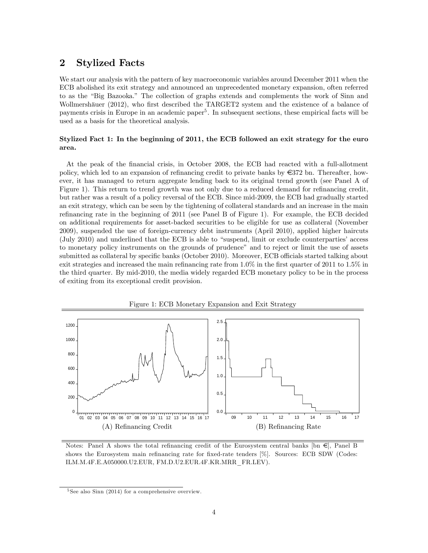## 2 Stylized Facts

We start our analysis with the pattern of key macroeconomic variables around December 2011 when the ECB abolished its exit strategy and announced an unprecedented monetary expansion, often referred to as the "Big Bazooka." The collection of graphs extends and complements the work of Sinn and Wollmershäuer (2012), who first described the TARGET2 system and the existence of a balance of payments crisis in Europe in an academic paper<sup>5</sup>. In subsequent sections, these empirical facts will be used as a basis for the theoretical analysis.

## Stylized Fact 1: In the beginning of 2011, the ECB followed an exit strategy for the euro area.

At the peak of the financial crisis, in October 2008, the ECB had reacted with a full-allotment policy, which led to an expansion of refinancing credit to private banks by  $\epsilon$ 372 bn. Thereafter, however, it has managed to return aggregate lending back to its original trend growth (see Panel A of Figure 1). This return to trend growth was not only due to a reduced demand for refinancing credit, but rather was a result of a policy reversal of the ECB. Since mid-2009, the ECB had gradually started an exit strategy, which can be seen by the tightening of collateral standards and an increase in the main refinancing rate in the beginning of 2011 (see Panel B of Figure 1). For example, the ECB decided on additional requirements for asset-backed securities to be eligible for use as collateral (November 2009), suspended the use of foreign-currency debt instruments (April 2010), applied higher haircuts  $(\text{July } 2010)$  and underlined that the ECB is able to "suspend, limit or exclude counterparties' access to monetary policy instruments on the grounds of prudence" and to reject or limit the use of assets submitted as collateral by specific banks (October 2010). Moreover, ECB officials started talking about exit strategies and increased the main refinancing rate from  $1.0\%$  in the first quarter of 2011 to 1.5% in the third quarter. By mid-2010, the media widely regarded ECB monetary policy to be in the process of exiting from its exceptional credit provision.



Figure 1: ECB Monetary Expansion and Exit Strategy

Notes: Panel A shows the total refinancing credit of the Eurosystem central banks [bn  $\epsilon$ ], Panel B shows the Eurosystem main refinancing rate for fixed-rate tenders [%]. Sources: ECB SDW (Codes: ILM.M.4F.E.A050000.U2.EUR, FM.D.U2.EUR.4F.KR.MRR\_FR.LEV).

<sup>5</sup> See also Sinn (2014) for a comprehensive overview.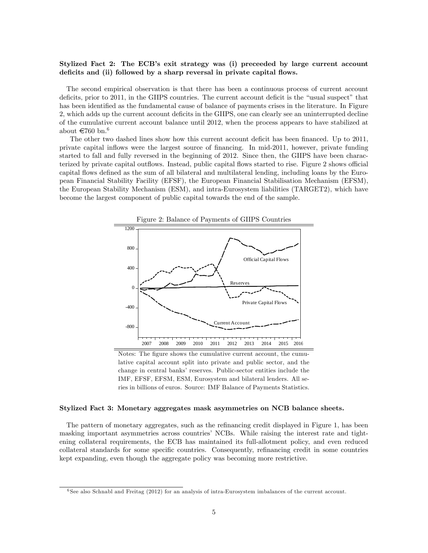## Stylized Fact 2: The ECB's exit strategy was (i) preceeded by large current account deficits and (ii) followed by a sharp reversal in private capital flows.

The second empirical observation is that there has been a continuous process of current account deficits, prior to 2011, in the GIIPS countries. The current account deficit is the "usual suspect" that has been identified as the fundamental cause of balance of payments crises in the literature. In Figure 2, which adds up the current account deficits in the GIIPS, one can clearly see an uninterrupted decline of the cumulative current account balance until 2012, when the process appears to have stabilized at about  $\in 760$  bn.<sup>6</sup>

The other two dashed lines show how this current account deficit has been financed. Up to 2011, private capital ináows were the largest source of Önancing. In mid-2011, however, private funding started to fall and fully reversed in the beginning of 2012. Since then, the GIIPS have been characterized by private capital outflows. Instead, public capital flows started to rise. Figure 2 shows official capital flows defined as the sum of all bilateral and multilateral lending, including loans by the European Financial Stability Facility (EFSF), the European Financial Stabilisation Mechanism (EFSM), the European Stability Mechanism (ESM), and intra-Eurosystem liabilities (TARGET2), which have become the largest component of public capital towards the end of the sample.



Notes: The figure shows the cumulative current account, the cumulative capital account split into private and public sector, and the change in central banks' reserves. Public-sector entities include the IMF, EFSF, EFSM, ESM, Eurosystem and bilateral lenders. All series in billions of euros. Source: IMF Balance of Payments Statistics.

#### Stylized Fact 3: Monetary aggregates mask asymmetries on NCB balance sheets.

The pattern of monetary aggregates, such as the refinancing credit displayed in Figure 1, has been masking important asymmetries across countries' NCBs. While raising the interest rate and tightening collateral requirements, the ECB has maintained its full-allotment policy, and even reduced collateral standards for some specific countries. Consequently, refinancing credit in some countries kept expanding, even though the aggregate policy was becoming more restrictive.

<sup>6</sup> See also Schnabl and Freitag (2012) for an analysis of intra-Eurosystem imbalances of the current account.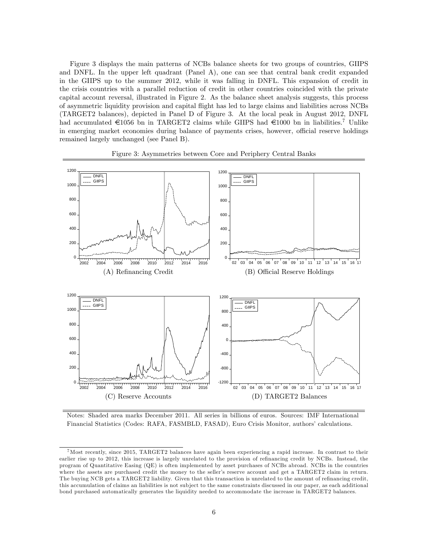Figure 3 displays the main patterns of NCBs balance sheets for two groups of countries, GIIPS and DNFL. In the upper left quadrant (Panel A), one can see that central bank credit expanded in the GIIPS up to the summer 2012, while it was falling in DNFL. This expansion of credit in the crisis countries with a parallel reduction of credit in other countries coincided with the private capital account reversal, illustrated in Figure 2. As the balance sheet analysis suggests, this process of asymmetric liquidity provision and capital áight has led to large claims and liabilities across NCBs (TARGET2 balances), depicted in Panel D of Figure 3. At the local peak in August 2012, DNFL had accumulated  $\epsilon$ 1056 bn in TARGET2 claims while GIIPS had  $\epsilon$ 1000 bn in liabilities.<sup>7</sup> Unlike in emerging market economies during balance of payments crises, however, official reserve holdings remained largely unchanged (see Panel B).



#### Figure 3: Asymmetries between Core and Periphery Central Banks

Notes: Shaded area marks December 2011. All series in billions of euros. Sources: IMF International Financial Statistics (Codes: RAFA, FASMBLD, FASAD), Euro Crisis Monitor, authors' calculations.

<sup>&</sup>lt;sup>7</sup>Most recently, since 2015, TARGET2 balances have again been experiencing a rapid increase. In contrast to their earlier rise up to 2012, this increase is largely unrelated to the provision of refinancing credit by NCBs. Instead, the program of Quantitative Easing (QE) is often implemented by asset purchases of NCBs abroad. NCBs in the countries where the assets are purchased credit the money to the seller's reserve account and get a TARGET2 claim in return. The buying NCB gets a TARGET2 liability. Given that this transaction is unrelated to the amount of refinancing credit, this accumulation of claims an liabilities is not sub ject to the same constraints discussed in our paper, as each additional bond purchased automatically generates the liquidity needed to accommodate the increase in TARGET2 balances.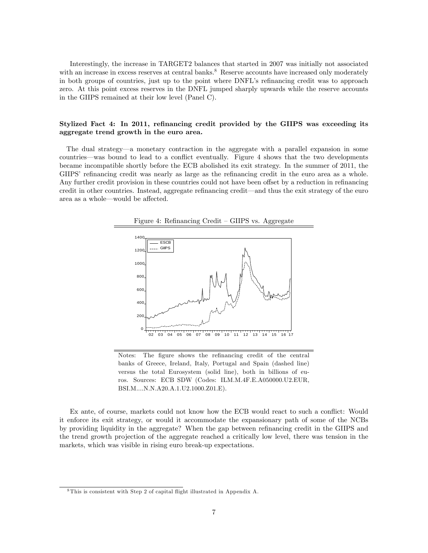Interestingly, the increase in TARGET2 balances that started in 2007 was initially not associated with an increase in excess reserves at central banks.<sup>8</sup> Reserve accounts have increased only moderately in both groups of countries, just up to the point where DNFL's refinancing credit was to approach zero. At this point excess reserves in the DNFL jumped sharply upwards while the reserve accounts in the GIIPS remained at their low level (Panel C).

## Stylized Fact 4: In 2011, refinancing credit provided by the GIIPS was exceeding its aggregate trend growth in the euro area.

The dual strategy—a monetary contraction in the aggregate with a parallel expansion in some countries—was bound to lead to a conflict eventually. Figure 4 shows that the two developments became incompatible shortly before the ECB abolished its exit strategy. In the summer of 2011, the GIIPS' refinancing credit was nearly as large as the refinancing credit in the euro area as a whole. Any further credit provision in these countries could not have been offset by a reduction in refinancing credit in other countries. Instead, aggregate refinancing credit—and thus the exit strategy of the euro area as a whole—would be affected.



Figure 4: Refinancing Credit – GIIPS vs. Aggregate

Ex ante, of course, markets could not know how the ECB would react to such a conáict: Would it enforce its exit strategy, or would it accommodate the expansionary path of some of the NCBs by providing liquidity in the aggregate? When the gap between refinancing credit in the GIIPS and the trend growth projection of the aggregate reached a critically low level, there was tension in the markets, which was visible in rising euro break-up expectations.

Notes: The figure shows the refinancing credit of the central banks of Greece, Ireland, Italy, Portugal and Spain (dashed line) versus the total Eurosystem (solid line), both in billions of euros. Sources: ECB SDW (Codes: ILM.M.4F.E.A050000.U2.EUR, BSI.M....N.N.A20.A.1.U2.1000.Z01.E).

<sup>&</sup>lt;sup>8</sup>This is consistent with Step 2 of capital flight illustrated in Appendix A.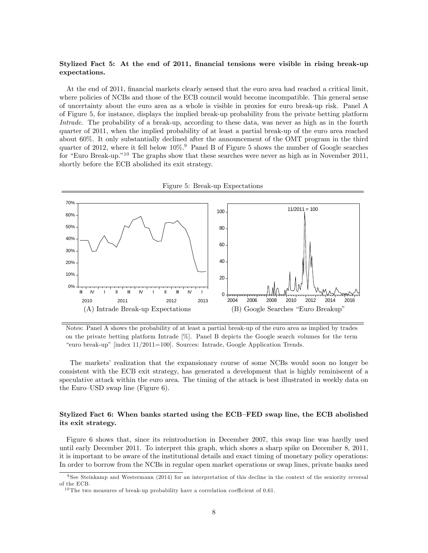## Stylized Fact 5: At the end of 2011, financial tensions were visible in rising break-up expectations.

At the end of 2011, financial markets clearly sensed that the euro area had reached a critical limit, where policies of NCBs and those of the ECB council would become incompatible. This general sense of uncertainty about the euro area as a whole is visible in proxies for euro break-up risk. Panel A of Figure 5, for instance, displays the implied break-up probability from the private betting platform Intrade. The probability of a break-up, according to these data, was never as high as in the fourth quarter of 2011, when the implied probability of at least a partial break-up of the euro area reached about 60%. It only substantially declined after the announcement of the OMT program in the third quarter of 2012, where it fell below  $10\%$ <sup>9</sup> Panel B of Figure 5 shows the number of Google searches for "Euro Break-up."<sup>10</sup> The graphs show that these searches were never as high as in November 2011, shortly before the ECB abolished its exit strategy.



Notes: Panel A shows the probability of at least a partial break-up of the euro area as implied by trades on the private betting platform Intrade [%]. Panel B depicts the Google search volumes for the term "euro break-up" [index  $11/2011=100$ ]. Sources: Intrade, Google Application Trends.

The markets' realization that the expansionary course of some NCBs would soon no longer be consistent with the ECB exit strategy, has generated a development that is highly reminiscent of a speculative attack within the euro area. The timing of the attack is best illustrated in weekly data on the Euro–USD swap line (Figure 6).

## Stylized Fact 6: When banks started using the ECB–FED swap line, the ECB abolished its exit strategy.

Figure 6 shows that, since its reintroduction in December 2007, this swap line was hardly used until early December 2011. To interpret this graph, which shows a sharp spike on December 8, 2011, it is important to be aware of the institutional details and exact timing of monetary policy operations: In order to borrow from the NCBs in regular open market operations or swap lines, private banks need

 $9$  See Steinkamp and Westermann (2014) for an interpretation of this decline in the context of the seniority reversal of the ECB.

<sup>&</sup>lt;sup>10</sup> The two measures of break-up probability have a correlation coefficient of 0.61.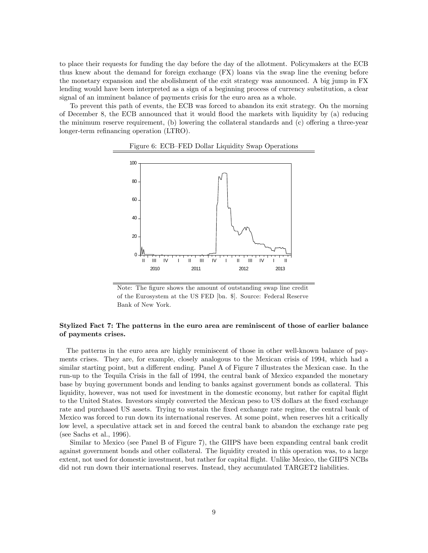to place their requests for funding the day before the day of the allotment. Policymakers at the ECB thus knew about the demand for foreign exchange (FX) loans via the swap line the evening before the monetary expansion and the abolishment of the exit strategy was announced. A big jump in FX lending would have been interpreted as a sign of a beginning process of currency substitution, a clear signal of an imminent balance of payments crisis for the euro area as a whole.

To prevent this path of events, the ECB was forced to abandon its exit strategy. On the morning of December 8, the ECB announced that it would áood the markets with liquidity by (a) reducing the minimum reserve requirement,  $(b)$  lowering the collateral standards and  $(c)$  offering a three-year longer-term refinancing operation (LTRO).





Note: The figure shows the amount of outstanding swap line credit of the Eurosystem at the US FED [bn. \$]. Source: Federal Reserve Bank of New York.

## Stylized Fact 7: The patterns in the euro area are reminiscent of those of earlier balance of payments crises.

The patterns in the euro area are highly reminiscent of those in other well-known balance of payments crises. They are, for example, closely analogous to the Mexican crisis of 1994, which had a similar starting point, but a different ending. Panel A of Figure 7 illustrates the Mexican case. In the run-up to the Tequila Crisis in the fall of 1994, the central bank of Mexico expanded the monetary base by buying government bonds and lending to banks against government bonds as collateral. This liquidity, however, was not used for investment in the domestic economy, but rather for capital flight to the United States. Investors simply converted the Mexican peso to US dollars at the Öxed exchange rate and purchased US assets. Trying to sustain the fixed exchange rate regime, the central bank of Mexico was forced to run down its international reserves. At some point, when reserves hit a critically low level, a speculative attack set in and forced the central bank to abandon the exchange rate peg (see Sachs et al., 1996).

Similar to Mexico (see Panel B of Figure 7), the GIIPS have been expanding central bank credit against government bonds and other collateral. The liquidity created in this operation was, to a large extent, not used for domestic investment, but rather for capital áight. Unlike Mexico, the GIIPS NCBs did not run down their international reserves. Instead, they accumulated TARGET2 liabilities.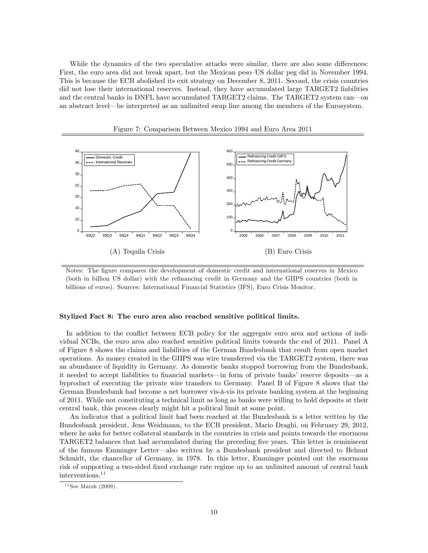While the dynamics of the two speculative attacks were similar, there are also some differences: First, the euro area did not break apart, but the Mexican peso–US dollar peg did in November 1994. This is because the ECB abolished its exit strategy on December 8, 2011. Second, the crisis countries did not lose their international reserves. Instead, they have accumulated large TARGET2 liabilities and the central banks in DNFL have accumulated TARGET2 claims. The TARGET2 system can on an abstract level—be interpreted as an unlimited swap line among the members of the Eurosystem.





Notes: The Ögure compares the development of domestic credit and international reserves in Mexico (both in billion US dollar) with the refinancing credit in Germany and the GIIPS countries (both in billions of euros). Sources: International Financial Statistics (IFS), Euro Crisis Monitor.

#### Stylized Fact 8: The euro area also reached sensitive political limits.

In addition to the conflict between ECB policy for the aggregate euro area and actions of individual NCBs, the euro area also reached sensitive political limits towards the end of 2011. Panel A of Figure 8 shows the claims and liabilities of the German Bundesbank that result from open market operations. As money created in the GIIPS was wire transferred via the TARGET2 system, there was an abundance of liquidity in Germany. As domestic banks stopped borrowing from the Bundesbank, it needed to accept liabilities to financial markets—in form of private banks' reserve deposits—as a byproduct of executing the private wire transfers to Germany. Panel B of Figure 8 shows that the German Bundesbank had become a net borrower vis-à-vis its private banking system at the beginning of 2011. While not constituting a technical limit as long as banks were willing to hold deposits at their central bank, this process clearly might hit a political limit at some point.

An indicator that a political limit had been reached at the Bundesbank is a letter written by the Bundesbank president, Jens Weidmann, to the ECB president, Mario Draghi, on February 29, 2012, where he asks for better collateral standards in the countries in crisis and points towards the enormous TARGET2 balances that had accumulated during the preceding Öve years. This letter is reminiscent of the famous Emminger Letter—also written by a Bundesbank president and directed to Helmut Schmidt, the chancellor of Germany, in 1978. In this letter, Emminger pointed out the enormous risk of supporting a two-sided Öxed exchange rate regime up to an unlimited amount of central bank interventions.<sup>11</sup>

 $11$  See Marsh (2009).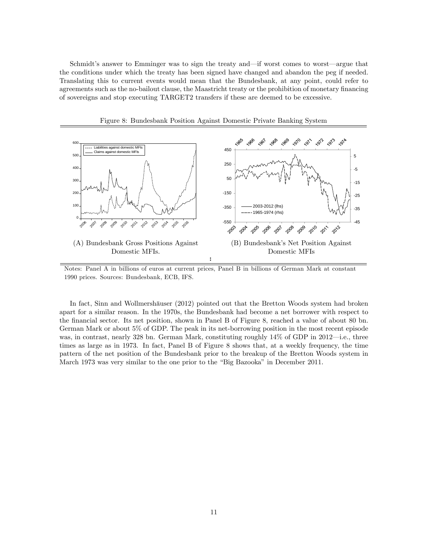Schmidt's answer to Emminger was to sign the treaty and—if worst comes to worst—argue that the conditions under which the treaty has been signed have changed and abandon the peg if needed. Translating this to current events would mean that the Bundesbank, at any point, could refer to agreements such as the no-bailout clause, the Maastricht treaty or the prohibition of monetary financing of sovereigns and stop executing TARGET2 transfers if these are deemed to be excessive.



Figure 8: Bundesbank Position Against Domestic Private Banking System

In fact, Sinn and Wollmershäuser (2012) pointed out that the Bretton Woods system had broken apart for a similar reason. In the 1970s, the Bundesbank had become a net borrower with respect to the Önancial sector. Its net position, shown in Panel B of Figure 8, reached a value of about 80 bn. German Mark or about 5% of GDP. The peak in its net-borrowing position in the most recent episode was, in contrast, nearly 328 bn. German Mark, constituting roughly  $14\%$  of GDP in 2012—i.e., three times as large as in 1973. In fact, Panel B of Figure 8 shows that, at a weekly frequency, the time pattern of the net position of the Bundesbank prior to the breakup of the Bretton Woods system in March 1973 was very similar to the one prior to the "Big Bazooka" in December 2011.

Notes: Panel A in billions of euros at current prices, Panel B in billions of German Mark at constant 1990 prices. Sources: Bundesbank, ECB, IFS.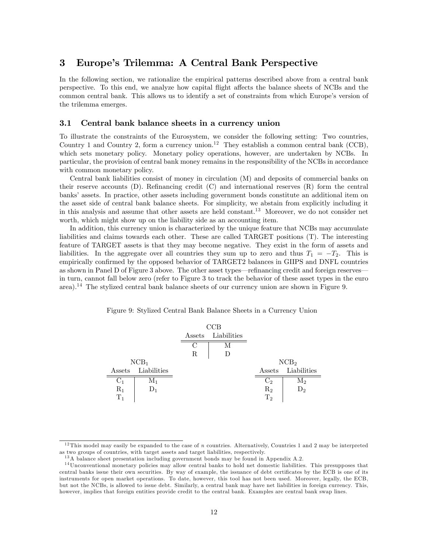## 3 Europeís Trilemma: A Central Bank Perspective

In the following section, we rationalize the empirical patterns described above from a central bank perspective. To this end, we analyze how capital áight a§ects the balance sheets of NCBs and the common central bank. This allows us to identify a set of constraints from which Europe's version of the trilemma emerges.

### 3.1 Central bank balance sheets in a currency union

To illustrate the constraints of the Eurosystem, we consider the following setting: Two countries, Country 1 and Country 2, form a currency union.<sup>12</sup> They establish a common central bank (CCB), which sets monetary policy. Monetary policy operations, however, are undertaken by NCBs. In particular, the provision of central bank money remains in the responsibility of the NCBs in accordance with common monetary policy.

Central bank liabilities consist of money in circulation (M) and deposits of commercial banks on their reserve accounts  $(D)$ . Refinancing credit  $(C)$  and international reserves  $(R)$  form the central banks' assets. In practice, other assets including government bonds constitute an additional item on the asset side of central bank balance sheets. For simplicity, we abstain from explicitly including it in this analysis and assume that other assets are held constant.<sup>13</sup> Moreover, we do not consider net worth, which might show up on the liability side as an accounting item.

In addition, this currency union is characterized by the unique feature that NCBs may accumulate liabilities and claims towards each other. These are called TARGET positions (T). The interesting feature of TARGET assets is that they may become negative. They exist in the form of assets and liabilities. In the aggregate over all countries they sum up to zero and thus  $T_1 = -T_2$ . This is empirically confirmed by the opposed behavior of TARGET2 balances in GIIPS and DNFL countries as shown in Panel D of Figure 3 above. The other asset types—refinancing credit and foreign reserves in turn, cannot fall below zero (refer to Figure 3 to track the behavior of these asset types in the euro area).<sup>14</sup> The stylized central bank balance sheets of our currency union are shown in Figure 9.



Figure 9: Stylized Central Bank Balance Sheets in a Currency Union

 $12$  This model may easily be expanded to the case of n countries. Alternatively, Countries 1 and 2 may be interpreted as two groups of countries, with target assets and target liabilities, respectively.

<sup>&</sup>lt;sup>13</sup>A balance sheet presentation including government bonds may be found in Appendix A.2.

<sup>1 4</sup>Unconventional monetary policies may allow central banks to hold net domestic liabilities. This presupposes that central banks issue their own securities. By way of example, the issuance of debt certificates by the ECB is one of its instruments for open market operations. To date, however, this tool has not been used. Moreover, legally, the ECB, but not the NCBs, is allowed to issue debt. Similarly, a central bank may have net liabilities in foreign currency. This, however, implies that foreign entities provide credit to the central bank. Examples are central bank swap lines.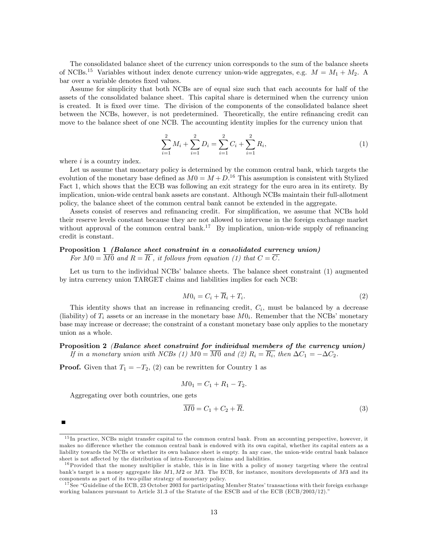The consolidated balance sheet of the currency union corresponds to the sum of the balance sheets of NCBs.<sup>15</sup> Variables without index denote currency union-wide aggregates, e.g.  $M = M_1 + M_2$ . A bar over a variable denotes fixed values.

Assume for simplicity that both NCBs are of equal size such that each accounts for half of the assets of the consolidated balance sheet. This capital share is determined when the currency union is created. It is fixed over time. The division of the components of the consolidated balance sheet between the NCBs, however, is not predetermined. Theoretically, the entire refinancing credit can move to the balance sheet of one NCB. The accounting identity implies for the currency union that

$$
\sum_{i=1}^{2} M_i + \sum_{i=1}^{2} D_i = \sum_{i=1}^{2} C_i + \sum_{i=1}^{2} R_i,
$$
\n(1)

where  $i$  is a country index.

Let us assume that monetary policy is determined by the common central bank, which targets the evolution of the monetary base defined as  $M0 = M + D^{16}$ . This assumption is consistent with Stylized Fact 1, which shows that the ECB was following an exit strategy for the euro area in its entirety. By implication, union-wide central bank assets are constant. Although NCBs maintain their full-allotment policy, the balance sheet of the common central bank cannot be extended in the aggregate.

Assets consist of reserves and refinancing credit. For simplification, we assume that NCBs hold their reserve levels constant because they are not allowed to intervene in the foreign exchange market without approval of the common central bank.<sup>17</sup> By implication, union-wide supply of refinancing credit is constant.

## Proposition 1 (Balance sheet constraint in a consolidated currency union)

For  $M0 = \overline{M0}$  and  $R = \overline{R}$ , it follows from equation (1) that  $C = \overline{C}$ .

Let us turn to the individual NCBs' balance sheets. The balance sheet constraint  $(1)$  augmented by intra currency union TARGET claims and liabilities implies for each NCB:

$$
M0_i = C_i + \overline{R}_i + T_i. \tag{2}
$$

This identity shows that an increase in refinancing credit,  $C_i$ , must be balanced by a decrease (liability) of  $T_i$  assets or an increase in the monetary base  $M0_i$ . Remember that the NCBs' monetary base may increase or decrease; the constraint of a constant monetary base only applies to the monetary union as a whole.

Proposition 2 (Balance sheet constraint for individual members of the currency union) If in a monetary union with NCBs (1)  $M0 = M0$  and (2)  $R_i = R_i$ , then  $\Delta C_1 = -\Delta C_2$ .

**Proof.** Given that  $T_1 = -T_2$ , (2) can be rewritten for Country 1 as

$$
M0_1 = C_1 + R_1 - T_2.
$$

Aggregating over both countries, one gets

$$
\overline{M0} = C_1 + C_2 + \overline{R}.\tag{3}
$$

<sup>&</sup>lt;sup>15</sup>In practice, NCBs might transfer capital to the common central bank. From an accounting perspective, however, it makes no difference whether the common central bank is endowed with its own capital, whether its capital enters as a liability towards the NCBs or whether its own balance sheet is empty. In any case, the union-wide central bank balance sheet is not affected by the distribution of intra-Eurosystem claims and liabilities.

 $16$ Provided that the money multiplier is stable, this is in line with a policy of money targeting where the central bank's target is a money aggregate like  $M1$ ,  $M2$  or  $M3$ . The ECB, for instance, monitors developments of  $M3$  and its components as part of its two-pillar strategy of monetary policy.

<sup>&</sup>lt;sup>17</sup> See "Guideline of the ECB, 23 October 2003 for participating Member States' transactions with their foreign exchange working balances pursuant to Article 31.3 of the Statute of the ESCB and of the ECB (ECB/2003/12)."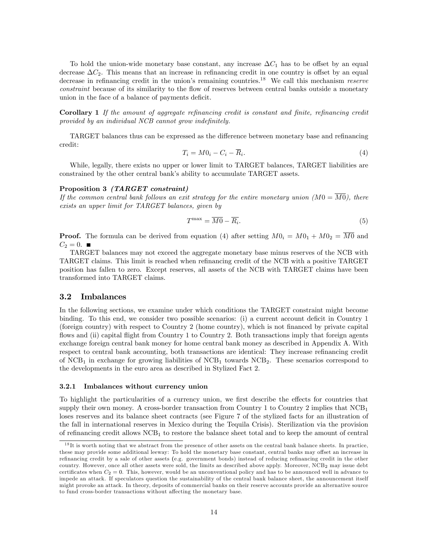To hold the union-wide monetary base constant, any increase  $\Delta C_1$  has to be offset by an equal decrease  $\Delta C_2$ . This means that an increase in refinancing credit in one country is offset by an equal decrease in refinancing credit in the union's remaining countries.<sup>18</sup> We call this mechanism *reserve* constraint because of its similarity to the flow of reserves between central banks outside a monetary union in the face of a balance of payments deficit.

**Corollary 1** If the amount of aggregate refinancing credit is constant and finite, refinancing credit provided by an individual NCB cannot grow indefinitely.

TARGET balances thus can be expressed as the difference between monetary base and refinancing credit:

$$
T_i = M0_i - C_i - \overline{R}_i. \tag{4}
$$

While, legally, there exists no upper or lower limit to TARGET balances, TARGET liabilities are constrained by the other central bank's ability to accumulate TARGET assets.

#### Proposition 3 (TARGET constraint)

If the common central bank follows an exit strategy for the entire monetary union  $(M0 = \overline{M0})$ , there exists an upper limit for TARGET balances, given by

$$
T^{\max} = \overline{M0} - \overline{R_i}.\tag{5}
$$

**Proof.** The formula can be derived from equation (4) after setting  $M0_i = M0_1 + M0_2 = \overline{M0}$  and  $C_2 = 0.$ 

TARGET balances may not exceed the aggregate monetary base minus reserves of the NCB with TARGET claims. This limit is reached when refinancing credit of the NCB with a positive TARGET position has fallen to zero. Except reserves, all assets of the NCB with TARGET claims have been transformed into TARGET claims.

### 3.2 Imbalances

In the following sections, we examine under which conditions the TARGET constraint might become binding. To this end, we consider two possible scenarios: (i) a current account deficit in Country  $1$ (foreign country) with respect to Country 2 (home country), which is not Önanced by private capital flows and (ii) capital flight from Country 1 to Country 2. Both transactions imply that foreign agents exchange foreign central bank money for home central bank money as described in Appendix A. With respect to central bank accounting, both transactions are identical: They increase refinancing credit of  $NCB<sub>1</sub>$  in exchange for growing liabilities of  $NCB<sub>1</sub>$  towards  $NCB<sub>2</sub>$ . These scenarios correspond to the developments in the euro area as described in Stylized Fact 2.

#### 3.2.1 Imbalances without currency union

To highlight the particularities of a currency union, we first describe the effects for countries that supply their own money. A cross-border transaction from Country 1 to Country 2 implies that  $NCB<sub>1</sub>$ loses reserves and its balance sheet contracts (see Figure 7 of the stylized facts for an illustration of the fall in international reserves in Mexico during the Tequila Crisis). Sterilization via the provision of refinancing credit allows  $NCB<sub>1</sub>$  to restore the balance sheet total and to keep the amount of central

 $1<sup>8</sup>$ It is worth noting that we abstract from the presence of other assets on the central bank balance sheets. In practice, these may provide some additional leeway: To hold the monetary base constant, central banks may offset an increase in refinancing credit by a sale of other assets (e.g. government bonds) instead of reducing refinancing credit in the other country. However, once all other assets were sold, the limits as described above apply. Moreover, NCB<sub>2</sub> may issue debt certificates when  $C_2 = 0$ . This, however, would be an unconventional policy and has to be announced well in advance to impede an attack. If speculators question the sustainability of the central bank balance sheet, the announcement itself might provoke an attack. In theory, deposits of commercial banks on their reserve accounts provide an alternative source to fund cross-border transactions without affecting the monetary base.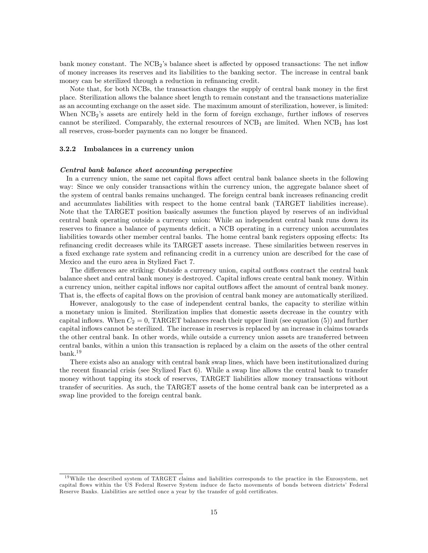bank money constant. The NCB<sub>2</sub>'s balance sheet is affected by opposed transactions: The net inflow of money increases its reserves and its liabilities to the banking sector. The increase in central bank money can be sterilized through a reduction in refinancing credit.

Note that, for both NCBs, the transaction changes the supply of central bank money in the first place. Sterilization allows the balance sheet length to remain constant and the transactions materialize as an accounting exchange on the asset side. The maximum amount of sterilization, however, is limited: When NCB<sub>2</sub>'s assets are entirely held in the form of foreign exchange, further inflows of reserves cannot be sterilized. Comparably, the external resources of  $NCB<sub>1</sub>$  are limited. When  $NCB<sub>1</sub>$  has lost all reserves, cross-border payments can no longer be financed.

### 3.2.2 Imbalances in a currency union

#### Central bank balance sheet accounting perspective

In a currency union, the same net capital flows affect central bank balance sheets in the following way: Since we only consider transactions within the currency union, the aggregate balance sheet of the system of central banks remains unchanged. The foreign central bank increases refinancing credit and accumulates liabilities with respect to the home central bank (TARGET liabilities increase). Note that the TARGET position basically assumes the function played by reserves of an individual central bank operating outside a currency union: While an independent central bank runs down its reserves to finance a balance of payments deficit, a NCB operating in a currency union accumulates liabilities towards other member central banks. The home central bank registers opposing effects: Its refinancing credit decreases while its TARGET assets increase. These similarities between reserves in a fixed exchange rate system and refinancing credit in a currency union are described for the case of Mexico and the euro area in Stylized Fact 7.

The differences are striking: Outside a currency union, capital outflows contract the central bank balance sheet and central bank money is destroyed. Capital inflows create central bank money. Within a currency union, neither capital inflows nor capital outflows affect the amount of central bank money. That is, the effects of capital flows on the provision of central bank money are automatically sterilized.

However, analogously to the case of independent central banks, the capacity to sterilize within a monetary union is limited. Sterilization implies that domestic assets decrease in the country with capital inflows. When  $C_2 = 0$ , TARGET balances reach their upper limit (see equation (5)) and further capital inflows cannot be sterilized. The increase in reserves is replaced by an increase in claims towards the other central bank. In other words, while outside a currency union assets are transferred between central banks, within a union this transaction is replaced by a claim on the assets of the other central bank.<sup>19</sup>

There exists also an analogy with central bank swap lines, which have been institutionalized during the recent financial crisis (see Stylized Fact 6). While a swap line allows the central bank to transfer money without tapping its stock of reserves, TARGET liabilities allow money transactions without transfer of securities. As such, the TARGET assets of the home central bank can be interpreted as a swap line provided to the foreign central bank.

<sup>&</sup>lt;sup>19</sup>While the described system of TARGET claims and liabilities corresponds to the practice in the Eurosystem, net capital áows within the US Federal Reserve System induce de facto movements of bonds between districtsí Federal Reserve Banks. Liabilities are settled once a year by the transfer of gold certificates.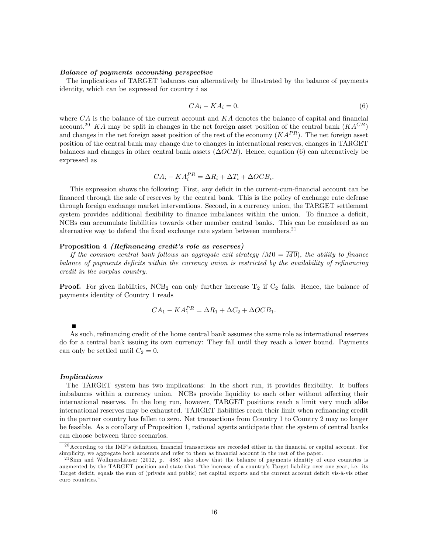#### Balance of payments accounting perspective

The implications of TARGET balances can alternatively be illustrated by the balance of payments identity, which can be expressed for country  $i$  as

$$
CA_i - KA_i = 0.\t\t(6)
$$

where  $CA$  is the balance of the current account and  $KA$  denotes the balance of capital and financial account.<sup>20</sup> KA may be split in changes in the net foreign asset position of the central bank  $(KA^{CB})$ and changes in the net foreign asset position of the rest of the economy  $(KAP^R)$ . The net foreign asset position of the central bank may change due to changes in international reserves, changes in TARGET balances and changes in other central bank assets  $(\Delta OCB)$ . Hence, equation (6) can alternatively be expressed as

$$
CA_i - KA_i^{PR} = \Delta R_i + \Delta T_i + \Delta OCB_i.
$$

This expression shows the following: First, any deficit in the current-cum-financial account can be financed through the sale of reserves by the central bank. This is the policy of exchange rate defense through foreign exchange market interventions. Second, in a currency union, the TARGET settlement system provides additional flexibility to finance imbalances within the union. To finance a deficit, NCBs can accumulate liabilities towards other member central banks. This can be considered as an alternative way to defend the fixed exchange rate system between members. $21$ 

#### Proposition 4 *(Refinancing credit's role as reserves)*

If the common central bank follows an aggregate exit strategy  $(M0 = \overline{M0})$ , the ability to finance balance of payments deficits within the currency union is restricted by the availability of refinancing credit in the surplus country.

**Proof.** For given liabilities,  $NCB_2$  can only further increase  $T_2$  if  $C_2$  falls. Hence, the balance of payments identity of Country 1 reads

$$
CA_1 - KA_1^{PR} = \Delta R_1 + \Delta C_2 + \Delta OCB_1.
$$

As such, refinancing credit of the home central bank assumes the same role as international reserves do for a central bank issuing its own currency: They fall until they reach a lower bound. Payments can only be settled until  $C_2 = 0$ .

#### Implications

The TARGET system has two implications: In the short run, it provides flexibility. It buffers imbalances within a currency union. NCBs provide liquidity to each other without affecting their international reserves. In the long run, however, TARGET positions reach a limit very much alike international reserves may be exhausted. TARGET liabilities reach their limit when refinancing credit in the partner country has fallen to zero. Net transactions from Country 1 to Country 2 may no longer be feasible. As a corollary of Proposition 1, rational agents anticipate that the system of central banks can choose between three scenarios.

 $^{20}$  According to the IMF's definition, financial transactions are recorded either in the financial or capital account. For simplicity, we aggregate both accounts and refer to them as financial account in the rest of the paper.

 $21$  Sinn and Wollmershäuser (2012, p. 488) also show that the balance of payments identity of euro countries is augmented by the TARGET position and state that "the increase of a country's Target liability over one year, i.e. its Target deficit, equals the sum of (private and public) net capital exports and the current account deficit vis-à-vis other euro countries."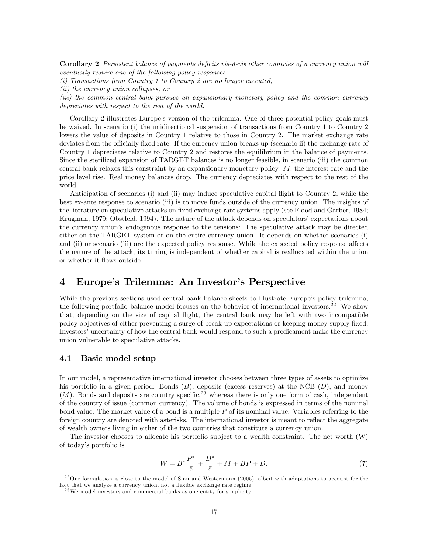Corollary 2 Persistent balance of payments deficits vis-à-vis other countries of a currency union will eventually require one of the following policy responses:

(i) Transactions from Country 1 to Country 2 are no longer executed,

(ii) the currency union collapses, or

(iii) the common central bank pursues an expansionary monetary policy and the common currency depreciates with respect to the rest of the world.

Corollary 2 illustrates Europe's version of the trilemma. One of three potential policy goals must be waived. In scenario (i) the unidirectional suspension of transactions from Country 1 to Country 2 lowers the value of deposits in Country 1 relative to those in Country 2. The market exchange rate deviates from the officially fixed rate. If the currency union breaks up (scenario ii) the exchange rate of Country 1 depreciates relative to Country 2 and restores the equilibrium in the balance of payments. Since the sterilized expansion of TARGET balances is no longer feasible, in scenario (iii) the common central bank relaxes this constraint by an expansionary monetary policy. M; the interest rate and the price level rise. Real money balances drop. The currency depreciates with respect to the rest of the world.

Anticipation of scenarios (i) and (ii) may induce speculative capital áight to Country 2, while the best ex-ante response to scenario (iii) is to move funds outside of the currency union. The insights of the literature on speculative attacks on fixed exchange rate systems apply (see Flood and Garber, 1984; Krugman, 1979; Obstfeld, 1994). The nature of the attack depends on speculators' expectations about the currency unionís endogenous response to the tensions: The speculative attack may be directed either on the TARGET system or on the entire currency union. It depends on whether scenarios (i) and (ii) or scenario (iii) are the expected policy response. While the expected policy response affects the nature of the attack, its timing is independent of whether capital is reallocated within the union or whether it flows outside.

## 4 Europe's Trilemma: An Investor's Perspective

While the previous sections used central bank balance sheets to illustrate Europe's policy trilemma, the following portfolio balance model focuses on the behavior of international investors.<sup>22</sup> We show that, depending on the size of capital áight, the central bank may be left with two incompatible policy objectives of either preventing a surge of break-up expectations or keeping money supply fixed. Investors' uncertainty of how the central bank would respond to such a predicament make the currency union vulnerable to speculative attacks.

### 4.1 Basic model setup

In our model, a representative international investor chooses between three types of assets to optimize his portfolio in a given period: Bonds  $(B)$ , deposits (excess reserves) at the NCB  $(D)$ , and money  $(M)$ . Bonds and deposits are country specific,  $^{23}$  whereas there is only one form of cash, independent of the country of issue (common currency). The volume of bonds is expressed in terms of the nominal bond value. The market value of a bond is a multiple P of its nominal value. Variables referring to the foreign country are denoted with asterisks. The international investor is meant to reflect the aggregate of wealth owners living in either of the two countries that constitute a currency union.

The investor chooses to allocate his portfolio subject to a wealth constraint. The net worth (W) of todayís portfolio is

$$
W = B^* \frac{P^*}{\bar{e}} + \frac{D^*}{\bar{e}} + M + BP + D.
$$
 (7)

 $^{22}$ Our formulation is close to the model of Sinn and Westermann (2005), albeit with adaptations to account for the fact that we analyze a currency union, not a flexible exchange rate regime.

<sup>2 3</sup>We model investors and commercial banks as one entity for simplicity.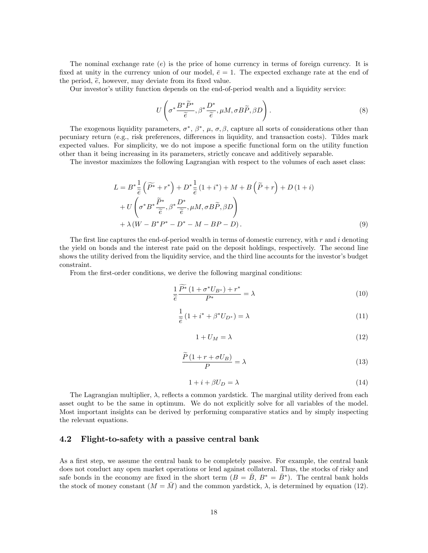The nominal exchange rate (e) is the price of home currency in terms of foreign currency. It is fixed at unity in the currency union of our model,  $\bar{e} = 1$ . The expected exchange rate at the end of the period,  $\tilde{e}$ , however, may deviate from its fixed value.

Our investor's utility function depends on the end-of-period wealth and a liquidity service:

$$
U\left(\sigma^* \frac{B^*\widetilde{P}^*}{\widetilde{e}}, \beta^* \frac{D^*}{\widetilde{e}}, \mu M, \sigma B \widetilde{P}, \beta D\right).
$$
\n(8)

The exogenous liquidity parameters,  $\sigma^*, \beta^*, \mu, \sigma, \beta$ , capture all sorts of considerations other than pecuniary return (e.g., risk preferences, differences in liquidity, and transaction costs). Tildes mark expected values. For simplicity, we do not impose a specific functional form on the utility function other than it being increasing in its parameters, strictly concave and additively separable.

The investor maximizes the following Lagrangian with respect to the volumes of each asset class:

$$
L = B^* \frac{1}{\tilde{e}} \left( \widetilde{P^*} + r^* \right) + D^* \frac{1}{\tilde{e}} \left( 1 + i^* \right) + M + B \left( \widetilde{P} + r \right) + D \left( 1 + i \right) + U \left( \sigma^* B^* \frac{\widetilde{P}^*}{\tilde{e}}, \beta^* \frac{D^*}{\tilde{e}}, \mu M, \sigma B \widetilde{P}, \beta D \right) + \lambda \left( W - B^* P^* - D^* - M - B P - D \right).
$$
 (9)

The first line captures the end-of-period wealth in terms of domestic currency, with  $r$  and  $i$  denoting the yield on bonds and the interest rate paid on the deposit holdings, respectively. The second line shows the utility derived from the liquidity service, and the third line accounts for the investor's budget constraint.

From the first-order conditions, we derive the following marginal conditions:

$$
\frac{1}{\tilde{e}} \frac{\widetilde{P^*} \left( 1 + \sigma^* U_{B^*} \right) + r^*}{P^*} = \lambda \tag{10}
$$

$$
\frac{1}{\tilde{e}}\left(1+i^* + \beta^* U_{D^*}\right) = \lambda\tag{11}
$$

$$
1 + U_M = \lambda \tag{12}
$$

$$
\frac{\widetilde{P}(1+r+\sigma U_B)}{P} = \lambda
$$
\n(13)

$$
1 + i + \beta U_D = \lambda \tag{14}
$$

The Lagrangian multiplier,  $\lambda$ , reflects a common yardstick. The marginal utility derived from each asset ought to be the same in optimum. We do not explicitly solve for all variables of the model. Most important insights can be derived by performing comparative statics and by simply inspecting the relevant equations.

### 4.2 Flight-to-safety with a passive central bank

As a first step, we assume the central bank to be completely passive. For example, the central bank does not conduct any open market operations or lend against collateral. Thus, the stocks of risky and safe bonds in the economy are fixed in the short term  $(B = \bar{B}, B^* = \bar{B}^*)$ . The central bank holds the stock of money constant  $(M = \overline{M})$  and the common yardstick,  $\lambda$ , is determined by equation (12).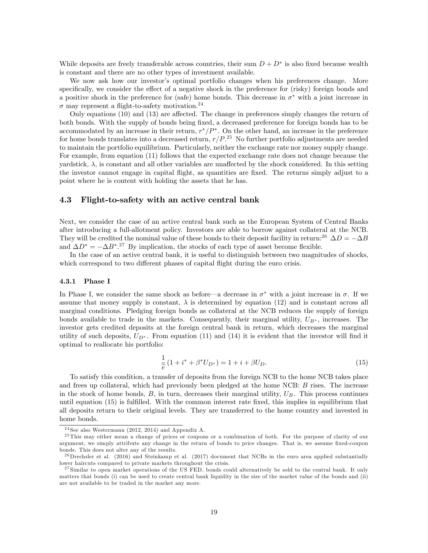While deposits are freely transferable across countries, their sum  $D + D^*$  is also fixed because wealth is constant and there are no other types of investment available.

We now ask how our investor's optimal portfolio changes when his preferences change. More specifically, we consider the effect of a negative shock in the preference for (risky) foreign bonds and a positive shock in the preference for (safe) home bonds. This decrease in  $\sigma^*$  with a joint increase in  $\sigma$  may represent a flight-to-safety motivation.<sup>24</sup>

Only equations  $(10)$  and  $(13)$  are affected. The change in preferences simply changes the return of both bonds. With the supply of bonds being fixed, a decreased preference for foreign bonds has to be accommodated by an increase in their return,  $r^*/P^*$ . On the other hand, an increase in the preference for home bonds translates into a decreased return,  $r/P$ .<sup>25</sup> No further portfolio adjustments are needed to maintain the portfolio equilibrium. Particularly, neither the exchange rate nor money supply change. For example, from equation (11) follows that the expected exchange rate does not change because the yardstick,  $\lambda$ , is constant and all other variables are unaffected by the shock considered. In this setting the investor cannot engage in capital áight, as quantities are Öxed. The returns simply adjust to a point where he is content with holding the assets that he has.

## 4.3 Flight-to-safety with an active central bank

Next, we consider the case of an active central bank such as the European System of Central Banks after introducing a full-allotment policy. Investors are able to borrow against collateral at the NCB. They will be credited the nominal value of these bonds to their deposit facility in return:<sup>26</sup>  $\Delta D = -\Delta B$ and  $\Delta D^* = -\Delta B^{*.27}$  By implication, the stocks of each type of asset become flexible.

In the case of an active central bank, it is useful to distinguish between two magnitudes of shocks, which correspond to two different phases of capital flight during the euro crisis.

#### 4.3.1 Phase I

In Phase I, we consider the same shock as before—a decrease in  $\sigma^*$  with a joint increase in  $\sigma$ . If we assume that money supply is constant,  $\lambda$  is determined by equation (12) and is constant across all marginal conditions. Pledging foreign bonds as collateral at the NCB reduces the supply of foreign bonds available to trade in the markets. Consequently, their marginal utility,  $U_{B^*}$ , increases. The investor gets credited deposits at the foreign central bank in return, which decreases the marginal utility of such deposits,  $U_{D^*}$ . From equation (11) and (14) it is evident that the investor will find it optimal to reallocate his portfolio:

$$
\frac{1}{\tilde{e}}\left(1+i^* + \beta^* U_{D^*}\right) = 1+i + \beta U_D.
$$
\n(15)

To satisfy this condition, a transfer of deposits from the foreign NCB to the home NCB takes place and frees up collateral, which had previously been pledged at the home NCB: B rises. The increase in the stock of home bonds,  $B$ , in turn, decreases their marginal utility,  $U_B$ . This process continues until equation (15) is fulfilled. With the common interest rate fixed, this implies in equilibrium that all deposits return to their original levels. They are transferred to the home country and invested in home bonds.

 $24$  See also Westermann (2012, 2014) and Appendix A.

<sup>&</sup>lt;sup>25</sup> This may either mean a change of prices or coupons or a combination of both. For the purpose of clarity of our argument, we simply attribute any change in the return of bonds to price changes. That is, we assume fixed-coupon bonds. This does not alter any of the results.

 $^{26}$  Drechsler et al. (2016) and Steinkamp et al. (2017) document that NCBs in the euro area applied substantially lower haircuts compared to private markets throughout the crisis.

 $27 \text{Similar to open market operations of the US FED, bonds could alternatively be sold to the central bank. It only$ matters that bonds (i) can be used to create central bank liquidity in the size of the market value of the bonds and (ii) are not available to be traded in the market any more.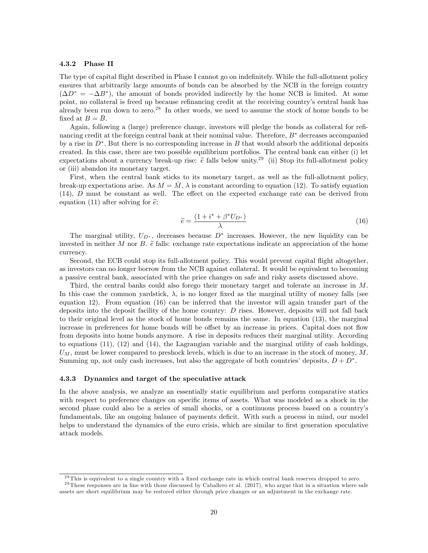#### 4.3.2 Phase II

The type of capital flight described in Phase I cannot go on indefinitely. While the full-allotment policy ensures that arbitrarily large amounts of bonds can be absorbed by the NCB in the foreign country  $(\Delta D^* = -\Delta B^*)$ , the amount of bonds provided indirectly by the home NCB is limited. At some point, no collateral is freed up because refinancing credit at the receiving country's central bank has already been run down to zero.<sup>28</sup> In other words, we need to assume the stock of home bonds to be fixed at  $B = \overline{B}$ .

Again, following a (large) preference change, investors will pledge the bonds as collateral for reÖnancing credit at the foreign central bank at their nominal value. Therefore,  $B^*$  decreases accompanied by a rise in  $D^*$ . But there is no corresponding increase in B that would absorb the additional deposits created. In this case, there are two possible equilibrium portfolios. The central bank can either (i) let expectations about a currency break-up rise:  $\tilde{e}$  falls below unity.<sup>29</sup> (ii) Stop its full-allotment policy or (iii) abandon its monetary target.

First, when the central bank sticks to its monetary target, as well as the full-allotment policy, break-up expectations arise. As  $M = M$ ,  $\lambda$  is constant according to equation (12). To satisfy equation  $(14)$ , D must be constant as well. The effect on the expected exchange rate can be derived from equation (11) after solving for  $\tilde{e}$ :

$$
\widetilde{e} = \frac{(1 + i^* + \beta^* U_{D^*})}{\lambda} \tag{16}
$$

The marginal utility,  $U_{D^*}$ , decreases because  $D^*$  increases. However, the new liquidity can be invested in neither M nor B.  $\tilde{e}$  falls: exchange rate expectations indicate an appreciation of the home currency.

Second, the ECB could stop its full-allotment policy. This would prevent capital flight altogether, as investors can no longer borrow from the NCB against collateral. It would be equivalent to becoming a passive central bank, associated with the price changes on safe and risky assets discussed above.

Third, the central banks could also forego their monetary target and tolerate an increase in M. In this case the common yardstick,  $\lambda$ , is no longer fixed as the marginal utility of money falls (see equation 12). From equation (16) can be inferred that the investor will again transfer part of the deposits into the deposit facility of the home country:  $D$  rises. However, deposits will not fall back to their original level as the stock of home bonds remains the same. In equation (13), the marginal increase in preferences for home bonds will be offset by an increase in prices. Capital does not flow from deposits into home bonds anymore. A rise in deposits reduces their marginal utility. According to equations (11), (12) and (14), the Lagrangian variable and the marginal utility of cash holdings,  $U_M$ , must be lower compared to preshock levels, which is due to an increase in the stock of money,  $M$ . Summing up, not only cash increases, but also the aggregate of both countries' deposits,  $D + D^*$ .

#### 4.3.3 Dynamics and target of the speculative attack

In the above analysis, we analyze an essentially static equilibrium and perform comparative statics with respect to preference changes on specific items of assets. What was modeled as a shock in the second phase could also be a series of small shocks, or a continuous process based on a countryís fundamentals, like an ongoing balance of payments deficit. With such a process in mind, our model helps to understand the dynamics of the euro crisis, which are similar to first generation speculative attack models.

 $^{28}$ This is equivalent to a single country with a fixed exchange rate in which central bank reserves dropped to zero.  $29$  These responses are in line with those discussed by Caballero et al. (2017), who argue that in a situation where safe

assets are short equilibrium may be restored either through price changes or an adjustment in the exchange rate.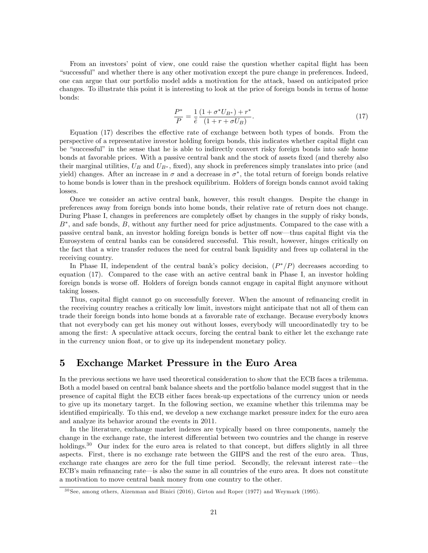From an investors' point of view, one could raise the question whether capital flight has been ìsuccessfulîand whether there is any other motivation except the pure change in preferences. Indeed, one can argue that our portfolio model adds a motivation for the attack, based on anticipated price changes. To illustrate this point it is interesting to look at the price of foreign bonds in terms of home bonds:

$$
\frac{P^*}{P} = \frac{1}{\tilde{e}} \frac{(1 + \sigma^* U_{B^*}) + r^*}{(1 + r + \sigma U_B)}.
$$
\n(17)

Equation  $(17)$  describes the effective rate of exchange between both types of bonds. From the perspective of a representative investor holding foreign bonds, this indicates whether capital flight can be "successful" in the sense that he is able to indirectly convert risky foreign bonds into safe home bonds at favorable prices. With a passive central bank and the stock of assets fixed (and thereby also their marginal utilities,  $U_B$  and  $U_{B^*}$ , fixed), any shock in preferences simply translates into price (and yield) changes. After an increase in  $\sigma$  and a decrease in  $\sigma^*$ , the total return of foreign bonds relative to home bonds is lower than in the preshock equilibrium. Holders of foreign bonds cannot avoid taking losses.

Once we consider an active central bank, however, this result changes. Despite the change in preferences away from foreign bonds into home bonds, their relative rate of return does not change. During Phase I, changes in preferences are completely offset by changes in the supply of risky bonds,  $B^*$ , and safe bonds,  $B$ , without any further need for price adjustments. Compared to the case with a passive central bank, an investor holding foreign bonds is better off now—thus capital flight via the Eurosystem of central banks can be considered successful. This result, however, hinges critically on the fact that a wire transfer reduces the need for central bank liquidity and frees up collateral in the receiving country.

In Phase II, independent of the central bank's policy decision,  $(P^*/P)$  decreases according to equation (17). Compared to the case with an active central bank in Phase I, an investor holding foreign bonds is worse off. Holders of foreign bonds cannot engage in capital flight anymore without taking losses.

Thus, capital flight cannot go on successfully forever. When the amount of refinancing credit in the receiving country reaches a critically low limit, investors might anticipate that not all of them can trade their foreign bonds into home bonds at a favorable rate of exchange. Because everybody knows that not everybody can get his money out without losses, everybody will uncoordinatedly try to be among the first: A speculative attack occurs, forcing the central bank to either let the exchange rate in the currency union float, or to give up its independent monetary policy.

## 5 Exchange Market Pressure in the Euro Area

In the previous sections we have used theoretical consideration to show that the ECB faces a trilemma. Both a model based on central bank balance sheets and the portfolio balance model suggest that in the presence of capital áight the ECB either faces break-up expectations of the currency union or needs to give up its monetary target. In the following section, we examine whether this trilemma may be identified empirically. To this end, we develop a new exchange market pressure index for the euro area and analyze its behavior around the events in 2011.

In the literature, exchange market indexes are typically based on three components, namely the change in the exchange rate, the interest differential between two countries and the change in reserve holdings.<sup>30</sup> Our index for the euro area is related to that concept, but differs slightly in all three aspects. First, there is no exchange rate between the GIIPS and the rest of the euro area. Thus, exchange rate changes are zero for the full time period. Secondly, the relevant interest rate—the ECB's main refinancing rate—is also the same in all countries of the euro area. It does not constitute a motivation to move central bank money from one country to the other.

<sup>3 0</sup> See, among others, Aizenman and Binici (2016), Girton and Roper (1977) and Weymark (1995).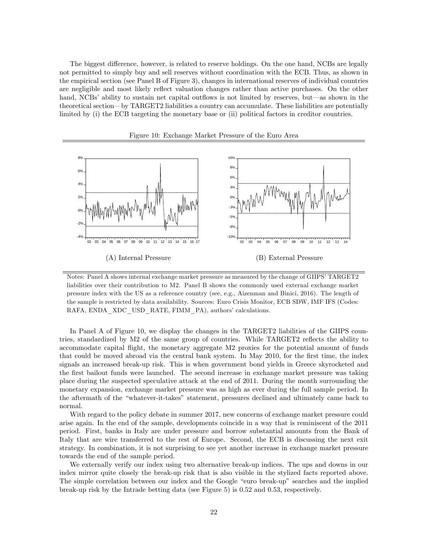The biggest difference, however, is related to reserve holdings. On the one hand, NCBs are legally not permitted to simply buy and sell reserves without coordination with the ECB. Thus, as shown in the empirical section (see Panel B of Figure 3), changes in international reserves of individual countries are negligible and most likely reflect valuation changes rather than active purchases. On the other hand, NCBs' ability to sustain net capital outflows is not limited by reserves, but—as shown in the theoretical section—by TARGET2 liabilities a country can accumulate. These liabilities are potentially limited by (i) the ECB targeting the monetary base or (ii) political factors in creditor countries.



Figure 10: Exchange Market Pressure of the Euro Area

Notes: Panel A shows internal exchange market pressure as measured by the change of GIIPS' TARGET2 liabilities over their contribution to M2. Panel B shows the commonly used external exchange market pressure index with the US as a reference country (see, e.g., Aizenman and Binici, 2016). The length of the sample is restricted by data availability. Sources: Euro Crisis Monitor, ECB SDW, IMF IFS (Codes: RAFA, ENDA\_XDC\_USD\_RATE, FIMM\_PA), authors' calculations.

In Panel A of Figure 10, we display the changes in the TARGET2 liabilities of the GIIPS countries, standardized by M2 of the same group of countries. While TARGET2 reflects the ability to accommodate capital áight, the monetary aggregate M2 proxies for the potential amount of funds that could be moved abroad via the central bank system. In May 2010, for the first time, the index signals an increased break-up risk. This is when government bond yields in Greece skyrocketed and the first bailout funds were launched. The second increase in exchange market pressure was taking place during the suspected speculative attack at the end of 2011. During the month surrounding the monetary expansion, exchange market pressure was as high as ever during the full sample period. In the aftermath of the "whatever-it-takes" statement, pressures declined and ultimately came back to normal.

With regard to the policy debate in summer 2017, new concerns of exchange market pressure could arise again. In the end of the sample, developments coincide in a way that is reminiscent of the 2011 period. First, banks in Italy are under pressure and borrow substantial amounts from the Bank of Italy that are wire transferred to the rest of Europe. Second, the ECB is discussing the next exit strategy. In combination, it is not surprising to see yet another increase in exchange market pressure towards the end of the sample period.

We externally verify our index using two alternative break-up indices. The ups and downs in our index mirror quite closely the break-up risk that is also visible in the stylized facts reported above. The simple correlation between our index and the Google "euro break-up" searches and the implied break-up risk by the Intrade betting data (see Figure 5) is 0.52 and 0.53, respectively.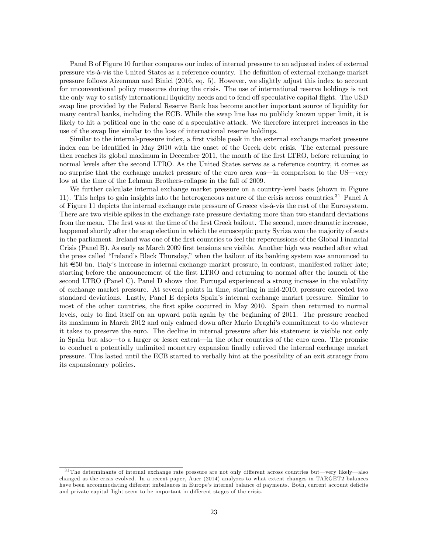Panel B of Figure 10 further compares our index of internal pressure to an adjusted index of external pressure vis-à-vis the United States as a reference country. The definition of external exchange market pressure follows Aizenman and Binici (2016, eq. 5). However, we slightly adjust this index to account for unconventional policy measures during the crisis. The use of international reserve holdings is not the only way to satisfy international liquidity needs and to fend off speculative capital flight. The USD swap line provided by the Federal Reserve Bank has become another important source of liquidity for many central banks, including the ECB. While the swap line has no publicly known upper limit, it is likely to hit a political one in the case of a speculative attack. We therefore interpret increases in the use of the swap line similar to the loss of international reserve holdings.

Similar to the internal-pressure index, a first visible peak in the external exchange market pressure index can be identified in May 2010 with the onset of the Greek debt crisis. The external pressure then reaches its global maximum in December 2011, the month of the first LTRO, before returning to normal levels after the second LTRO. As the United States serves as a reference country, it comes as no surprise that the exchange market pressure of the euro area was—in comparison to the US—very low at the time of the Lehman Brothers-collapse in the fall of 2009.

We further calculate internal exchange market pressure on a country-level basis (shown in Figure 11). This helps to gain insights into the heterogeneous nature of the crisis across countries.<sup>31</sup> Panel A of Figure 11 depicts the internal exchange rate pressure of Greece vis-‡-vis the rest of the Eurosystem. There are two visible spikes in the exchange rate pressure deviating more than two standard deviations from the mean. The first was at the time of the first Greek bailout. The second, more dramatic increase, happened shortly after the snap election in which the eurosceptic party Syriza won the majority of seats in the parliament. Ireland was one of the first countries to feel the repercussions of the Global Financial Crisis (Panel B). As early as March 2009 first tensions are visible. Another high was reached after what the press called "Ireland's Black Thursday," when the bailout of its banking system was announced to hit  $\epsilon_{50}$  bn. Italy's increase in internal exchange market pressure, in contrast, manifested rather late; starting before the announcement of the first LTRO and returning to normal after the launch of the second LTRO (Panel C). Panel D shows that Portugal experienced a strong increase in the volatility of exchange market pressure. At several points in time, starting in mid-2010, pressure exceeded two standard deviations. Lastly, Panel E depicts Spain's internal exchange market pressure. Similar to most of the other countries, the first spike occurred in May 2010. Spain then returned to normal levels, only to find itself on an upward path again by the beginning of 2011. The pressure reached its maximum in March 2012 and only calmed down after Mario Draghiís commitment to do whatever it takes to preserve the euro. The decline in internal pressure after his statement is visible not only in Spain but also to a larger or lesser extent—in the other countries of the euro area. The promise to conduct a potentially unlimited monetary expansion Önally relieved the internal exchange market pressure. This lasted until the ECB started to verbally hint at the possibility of an exit strategy from its expansionary policies.

 $31$  The determinants of internal exchange rate pressure are not only different across countries but—very likely—also changed as the crisis evolved. In a recent paper, Auer (2014) analyzes to what extent changes in TARGET2 balances have been accommodating different imbalances in Europe's internal balance of payments. Both, current account deficits and private capital flight seem to be important in different stages of the crisis.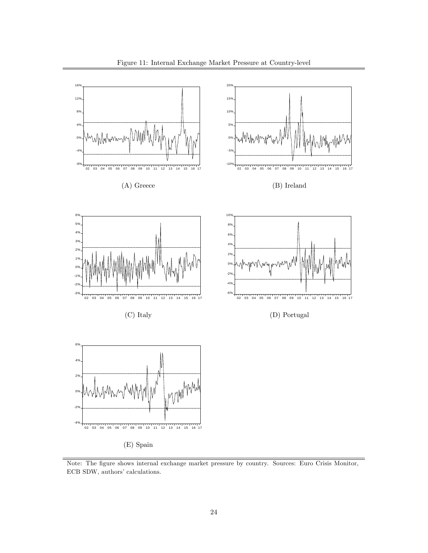

Note: The figure shows internal exchange market pressure by country. Sources: Euro Crisis Monitor, ECB SDW, authors' calculations.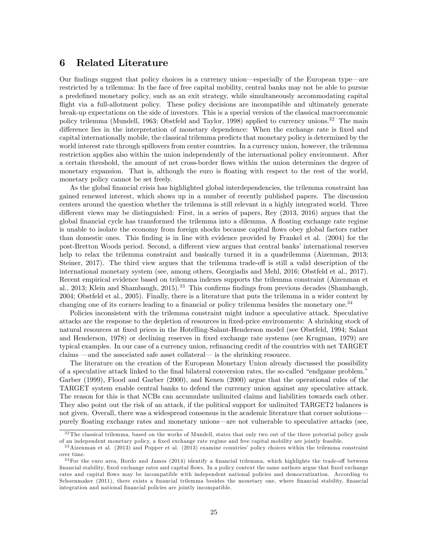## 6 Related Literature

Our findings suggest that policy choices in a currency union—especially of the European type—are restricted by a trilemma: In the face of free capital mobility, central banks may not be able to pursue a predefined monetary policy, such as an exit strategy, while simultaneously accommodating capital flight via a full-allotment policy. These policy decisions are incompatible and ultimately generate break-up expectations on the side of investors. This is a special version of the classical macroeconomic policy trilemma (Mundell, 1963; Obstfeld and Taylor, 1998) applied to currency unions.<sup>32</sup> The main difference lies in the interpretation of monetary dependence: When the exchange rate is fixed and capital internationally mobile, the classical trilemma predicts that monetary policy is determined by the world interest rate through spillovers from center countries. In a currency union, however, the trilemma restriction applies also within the union independently of the international policy environment. After a certain threshold, the amount of net cross-border áows within the union determines the degree of monetary expansion. That is, although the euro is floating with respect to the rest of the world, monetary policy cannot be set freely.

As the global financial crisis has highlighted global interdependencies, the trilemma constraint has gained renewed interest, which shows up in a number of recently published papers. The discussion centers around the question whether the trilemma is still relevant in a highly integrated world. Three different views may be distinguished: First, in a series of papers, Rey  $(2013, 2016)$  argues that the global financial cycle has transformed the trilemma into a dilemma. A floating exchange rate regime is unable to isolate the economy from foreign shocks because capital flows obey global factors rather than domestic ones. This Önding is in line with evidence provided by Frankel et al. (2004) for the post-Bretton Woods period. Second, a different view argues that central banks' international reserves help to relax the trilemma constraint and basically turned it in a quadrilemma (Aizenman, 2013; Steiner, 2017). The third view argues that the trilemma trade-off is still a valid description of the international monetary system (see, among others, Georgiadis and Mehl, 2016; Obstfeld et al., 2017). Recent empirical evidence based on trilemma indexes supports the trilemma constraint (Aizenman et al., 2013; Klein and Shambaugh, 2015).<sup>33</sup> This confirms findings from previous decades (Shambaugh, 2004; Obstfeld et al., 2005). Finally, there is a literature that puts the trilemma in a wider context by changing one of its corners leading to a financial or policy trilemma besides the monetary one.<sup>34</sup>

Policies inconsistent with the trilemma constraint might induce a speculative attack. Speculative attacks are the response to the depletion of resources in Öxed-price environments: A shrinking stock of natural resources at fixed prices in the Hotelling-Salant-Henderson model (see Obstfeld, 1994; Salant and Henderson, 1978) or declining reserves in fixed exchange rate systems (see Krugman, 1979) are typical examples. In our case of a currency union, refinancing credit of the countries with net TARGET claims – and the associated safe asset collateral— is the shrinking resource.

The literature on the creation of the European Monetary Union already discussed the possibility of a speculative attack linked to the final bilateral conversion rates, the so-called "endgame problem." Garber (1999), Flood and Garber (2000), and Kenen (2000) argue that the operational rules of the TARGET system enable central banks to defend the currency union against any speculative attack. The reason for this is that NCBs can accumulate unlimited claims and liabilities towards each other. They also point out the risk of an attack, if the political support for unlimited TARGET2 balances is not given. Overall, there was a widespread consensus in the academic literature that corner solutions purely floating exchange rates and monetary unions—are not vulnerable to speculative attacks (see,

 $32$ The classical trilemma, based on the works of Mundell, states that only two out of the three potential policy goals of an independent monetary policy, a fixed exchange rate regime and free capital mobility are jointly feasible.

<sup>3 3</sup>Aizenman et al. (2013) and Popper et al. (2013) examine countriesí policy choices within the trilemma constraint over time.

 $34$ For the euro area, Bordo and James (2014) identify a financial trilemma, which highlights the trade-off between Önancial stability, Öxed exchange rates and capital áows. In a policy context the same authors argue that Öxed exchange rates and capital áows may be incompatible with independent national policies and democratization. According to Schoenmaker (2011), there exists a financial trilemma besides the monetary one, where financial stability, financial integration and national financial policies are jointly incompatible.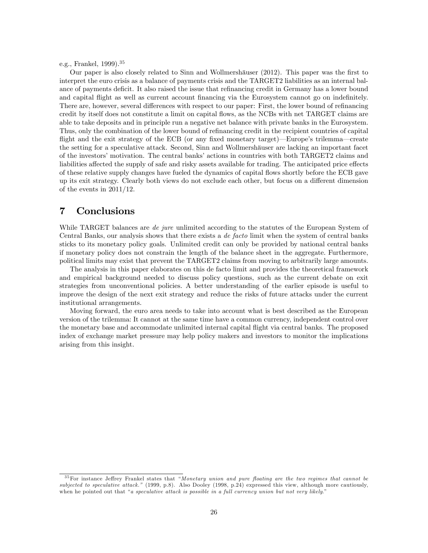e.g., Frankel, 1999).<sup>35</sup>

Our paper is also closely related to Sinn and Wollmershäuser (2012). This paper was the first to interpret the euro crisis as a balance of payments crisis and the TARGET2 liabilities as an internal balance of payments deficit. It also raised the issue that refinancing credit in Germany has a lower bound and capital flight as well as current account financing via the Eurosystem cannot go on indefinitely. There are, however, several differences with respect to our paper: First, the lower bound of refinancing credit by itself does not constitute a limit on capital áows, as the NCBs with net TARGET claims are able to take deposits and in principle run a negative net balance with private banks in the Eurosystem. Thus, only the combination of the lower bound of refinancing credit in the recipient countries of capital flight and the exit strategy of the ECB (or any fixed monetary target)—Europe's trilemma—create the setting for a speculative attack. Second, Sinn and Wollmershäuser are lacking an important facet of the investors' motivation. The central banks' actions in countries with both TARGET2 claims and liabilities affected the supply of safe and risky assets available for trading. The anticipated price effects of these relative supply changes have fueled the dynamics of capital áows shortly before the ECB gave up its exit strategy. Clearly both views do not exclude each other, but focus on a different dimension of the events in 2011/12.

## 7 Conclusions

While TARGET balances are *de jure* unlimited according to the statutes of the European System of Central Banks, our analysis shows that there exists a de facto limit when the system of central banks sticks to its monetary policy goals. Unlimited credit can only be provided by national central banks if monetary policy does not constrain the length of the balance sheet in the aggregate. Furthermore, political limits may exist that prevent the TARGET2 claims from moving to arbitrarily large amounts.

The analysis in this paper elaborates on this de facto limit and provides the theoretical framework and empirical background needed to discuss policy questions, such as the current debate on exit strategies from unconventional policies. A better understanding of the earlier episode is useful to improve the design of the next exit strategy and reduce the risks of future attacks under the current institutional arrangements.

Moving forward, the euro area needs to take into account what is best described as the European version of the trilemma: It cannot at the same time have a common currency, independent control over the monetary base and accommodate unlimited internal capital áight via central banks. The proposed index of exchange market pressure may help policy makers and investors to monitor the implications arising from this insight.

 $35$  For instance Jeffrey Frankel states that "Monetary union and pure floating are the two regimes that cannot be subjected to speculative attack." (1999, p.8). Also Dooley (1998, p.24) expressed this view, although more cautiously, when he pointed out that "a speculative attack is possible in a full currency union but not very likely."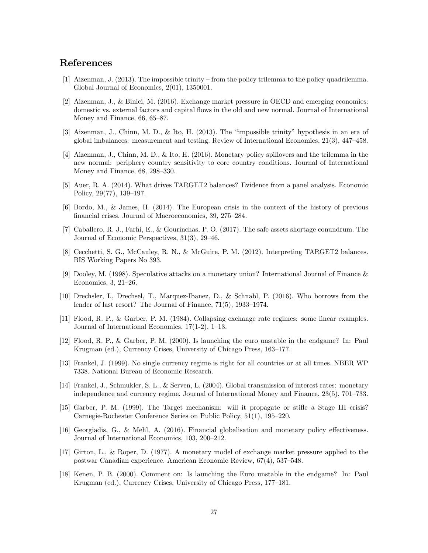## References

- [1] Aizenman, J. (2013). The impossible trinity from the policy trilemma to the policy quadrilemma. Global Journal of Economics, 2(01), 1350001.
- [2] Aizenman, J., & Binici, M. (2016). Exchange market pressure in OECD and emerging economies: domestic vs. external factors and capital flows in the old and new normal. Journal of International Money and Finance,  $66, 65-87$ .
- $[3]$  Aizenman, J., Chinn, M. D., & Ito, H. (2013). The "impossible trinity" hypothesis in an era of global imbalances: measurement and testing. Review of International Economics,  $21(3)$ ,  $447-458$ .
- [4] Aizenman, J., Chinn, M. D., & Ito, H. (2016). Monetary policy spillovers and the trilemma in the new normal: periphery country sensitivity to core country conditions. Journal of International Money and Finance,  $68$ ,  $298-330$ .
- [5] Auer, R. A. (2014). What drives TARGET2 balances? Evidence from a panel analysis. Economic Policy,  $29(77)$ ,  $139-197$ .
- [6] Bordo, M., & James, H. (2014). The European crisis in the context of the history of previous financial crises. Journal of Macroeconomics, 39, 275–284.
- [7] Caballero, R. J., Farhi, E., & Gourinchas, P. O. (2017). The safe assets shortage conundrum. The Journal of Economic Perspectives,  $31(3)$ ,  $29-46$ .
- [8] Cecchetti, S. G., McCauley, R. N., & McGuire, P. M. (2012). Interpreting TARGET2 balances. BIS Working Papers No 393.
- [9] Dooley, M. (1998). Speculative attacks on a monetary union? International Journal of Finance & Economics,  $3, 21-26$ .
- [10] Drechsler, I., Drechsel, T., Marquez-Ibanez, D., & Schnabl, P. (2016). Who borrows from the lender of last resort? The Journal of Finance,  $71(5)$ ,  $1933-1974$ .
- [11] Flood, R. P., & Garber, P. M. (1984). Collapsing exchange rate regimes: some linear examples. Journal of International Economics,  $17(1-2)$ ,  $1-13$ .
- [12] Flood, R. P., & Garber, P. M. (2000). Is launching the euro unstable in the endgame? In: Paul Krugman (ed.), Currency Crises, University of Chicago Press, 163–177.
- [13] Frankel, J. (1999). No single currency regime is right for all countries or at all times. NBER WP 7338. National Bureau of Economic Research.
- [14] Frankel, J., Schmukler, S. L., & Serven, L. (2004). Global transmission of interest rates: monetary independence and currency regime. Journal of International Money and Finance,  $23(5)$ ,  $701-733$ .
- [15] Garber, P. M. (1999). The Target mechanism: will it propagate or stifle a Stage III crisis? Carnegie-Rochester Conference Series on Public Policy,  $51(1)$ ,  $195-220$ .
- [16] Georgiadis, G., & Mehl, A. (2016). Financial globalisation and monetary policy effectiveness. Journal of International Economics, 103, 200–212.
- [17] Girton, L., & Roper, D. (1977). A monetary model of exchange market pressure applied to the postwar Canadian experience. American Economic Review,  $67(4)$ , 537–548.
- [18] Kenen, P. B. (2000). Comment on: Is launching the Euro unstable in the endgame? In: Paul Krugman (ed.), Currency Crises, University of Chicago Press, 177–181.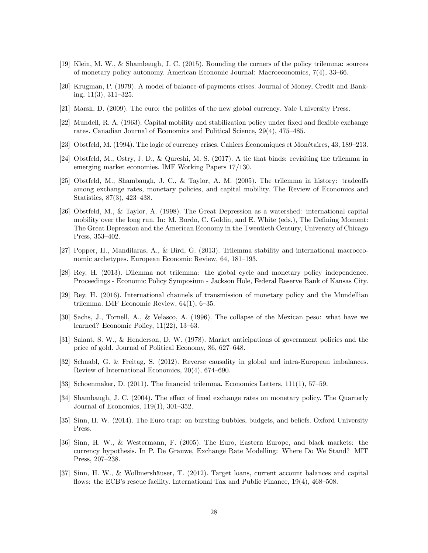- [19] Klein, M. W., & Shambaugh, J. C. (2015). Rounding the corners of the policy trilemma: sources of monetary policy autonomy. American Economic Journal: Macroeconomics,  $7(4)$ ,  $33-66$ .
- [20] Krugman, P. (1979). A model of balance-of-payments crises. Journal of Money, Credit and Banking,  $11(3)$ ,  $311-325$ .
- [21] Marsh, D. (2009). The euro: the politics of the new global currency. Yale University Press.
- [22] Mundell, R. A. (1963). Capital mobility and stabilization policy under fixed and flexible exchange rates. Canadian Journal of Economics and Political Science, 29(4), 475-485.
- [23] Obstfeld, M. (1994). The logic of currency crises. Cahiers Economiques et Monétaires, 43, 189–213.
- [24] Obstfeld, M., Ostry, J. D., & Qureshi, M. S. (2017). A tie that binds: revisiting the trilemma in emerging market economies. IMF Working Papers 17/130.
- [25] Obstfeld, M., Shambaugh, J. C., & Taylor, A. M. (2005). The trilemma in history: tradeoffs among exchange rates, monetary policies, and capital mobility. The Review of Economics and Statistics,  $87(3)$ ,  $423-438$ .
- [26] Obstfeld, M., & Taylor, A. (1998). The Great Depression as a watershed: international capital mobility over the long run. In: M. Bordo, C. Goldin, and E. White (eds.), The Defining Moment: The Great Depression and the American Economy in the Twentieth Century, University of Chicago Press, 353-402.
- [27] Popper, H., Mandilaras, A., & Bird, G. (2013). Trilemma stability and international macroeconomic archetypes. European Economic Review, 64, 181–193.
- [28] Rey, H. (2013). Dilemma not trilemma: the global cycle and monetary policy independence. Proceedings - Economic Policy Symposium - Jackson Hole, Federal Reserve Bank of Kansas City.
- [29] Rey, H. (2016). International channels of transmission of monetary policy and the Mundellian trilemma. IMF Economic Review,  $64(1)$ ,  $6-35$ .
- [30] Sachs, J., Tornell, A., & Velasco, A. (1996). The collapse of the Mexican peso: what have we learned? Economic Policy,  $11(22)$ ,  $13-63$ .
- [31] Salant, S. W., & Henderson, D. W. (1978). Market anticipations of government policies and the price of gold. Journal of Political Economy, 86, 627–648.
- [32] Schnabl, G. & Freitag, S. (2012). Reverse causality in global and intra-European imbalances. Review of International Economics,  $20(4)$ ,  $674-690$ .
- [33] Schoenmaker, D. (2011). The financial trilemma. Economics Letters,  $111(1)$ , 57–59.
- [34] Shambaugh, J. C. (2004). The effect of fixed exchange rates on monetary policy. The Quarterly Journal of Economics,  $119(1)$ ,  $301-352$ .
- [35] Sinn, H. W. (2014). The Euro trap: on bursting bubbles, budgets, and beliefs. Oxford University Press.
- [36] Sinn, H. W., & Westermann, F. (2005). The Euro, Eastern Europe, and black markets: the currency hypothesis. In P. De Grauwe, Exchange Rate Modelling: Where Do We Stand? MIT Press, 207-238.
- [37] Sinn, H. W., & Wollmershäuser, T. (2012). Target loans, current account balances and capital flows: the ECB's rescue facility. International Tax and Public Finance,  $19(4)$ ,  $468-508$ .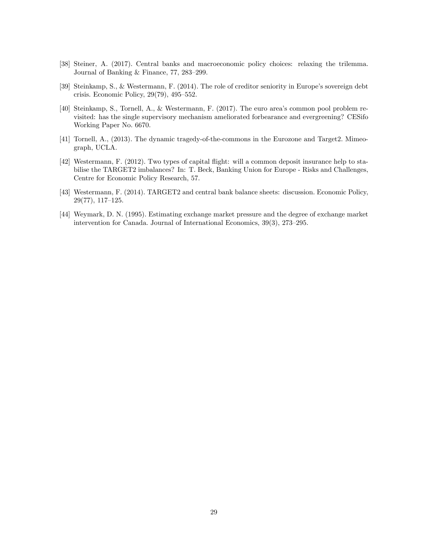- [38] Steiner, A. (2017). Central banks and macroeconomic policy choices: relaxing the trilemma. Journal of Banking  $&$  Finance, 77, 283-299.
- [39] Steinkamp, S., & Westermann, F. (2014). The role of creditor seniority in Europe's sovereign debt crisis. Economic Policy,  $29(79)$ ,  $495-552$ .
- [40] Steinkamp, S., Tornell, A., & Westermann, F. (2017). The euro areaís common pool problem revisited: has the single supervisory mechanism ameliorated forbearance and evergreening? CESifo Working Paper No. 6670.
- [41] Tornell, A., (2013). The dynamic tragedy-of-the-commons in the Eurozone and Target2. Mimeograph, UCLA.
- [42] Westermann, F. (2012). Two types of capital áight: will a common deposit insurance help to stabilise the TARGET2 imbalances? In: T. Beck, Banking Union for Europe - Risks and Challenges, Centre for Economic Policy Research, 57.
- [43] Westermann, F. (2014). TARGET2 and central bank balance sheets: discussion. Economic Policy,  $29(77), 117–125.$
- [44] Weymark, D. N. (1995). Estimating exchange market pressure and the degree of exchange market intervention for Canada. Journal of International Economics,  $39(3)$ ,  $273-295$ .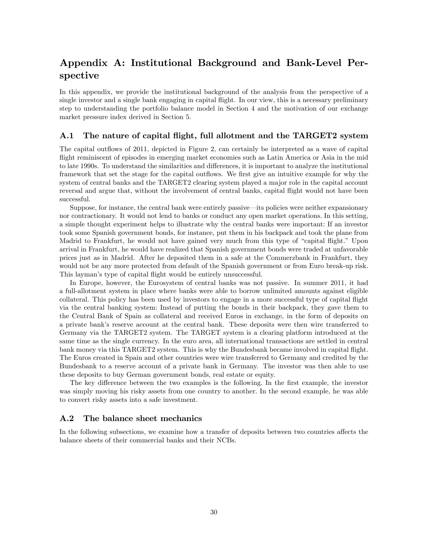## Appendix A: Institutional Background and Bank-Level Perspective

In this appendix, we provide the institutional background of the analysis from the perspective of a single investor and a single bank engaging in capital flight. In our view, this is a necessary preliminary step to understanding the portfolio balance model in Section 4 and the motivation of our exchange market pressure index derived in Section 5.

## A.1 The nature of capital flight, full allotment and the TARGET2 system

The capital outflows of 2011, depicted in Figure 2, can certainly be interpreted as a wave of capital flight reminiscent of episodes in emerging market economies such as Latin America or Asia in the mid to late 1990s. To understand the similarities and differences, it is important to analyze the institutional framework that set the stage for the capital outflows. We first give an intuitive example for why the system of central banks and the TARGET2 clearing system played a major role in the capital account reversal and argue that, without the involvement of central banks, capital áight would not have been successful.

Suppose, for instance, the central bank were entirely passive—its policies were neither expansionary nor contractionary. It would not lend to banks or conduct any open market operations. In this setting, a simple thought experiment helps to illustrate why the central banks were important: If an investor took some Spanish government bonds, for instance, put them in his backpack and took the plane from Madrid to Frankfurt, he would not have gained very much from this type of "capital flight." Upon arrival in Frankfurt, he would have realized that Spanish government bonds were traded at unfavorable prices just as in Madrid. After he deposited them in a safe at the Commerzbank in Frankfurt, they would not be any more protected from default of the Spanish government or from Euro break-up risk. This layman's type of capital flight would be entirely unsuccessful.

In Europe, however, the Eurosystem of central banks was not passive. In summer 2011, it had a full-allotment system in place where banks were able to borrow unlimited amounts against eligible collateral. This policy has been used by investors to engage in a more successful type of capital áight via the central banking system: Instead of putting the bonds in their backpack, they gave them to the Central Bank of Spain as collateral and received Euros in exchange, in the form of deposits on a private bankís reserve account at the central bank. These deposits were then wire transferred to Germany via the TARGET2 system. The TARGET system is a clearing platform introduced at the same time as the single currency. In the euro area, all international transactions are settled in central bank money via this TARGET2 system. This is why the Bundesbank became involved in capital áight. The Euros created in Spain and other countries were wire transferred to Germany and credited by the Bundesbank to a reserve account of a private bank in Germany. The investor was then able to use these deposits to buy German government bonds, real estate or equity.

The key difference between the two examples is the following. In the first example, the investor was simply moving his risky assets from one country to another. In the second example, he was able to convert risky assets into a safe investment.

### A.2 The balance sheet mechanics

In the following subsections, we examine how a transfer of deposits between two countries affects the balance sheets of their commercial banks and their NCBs.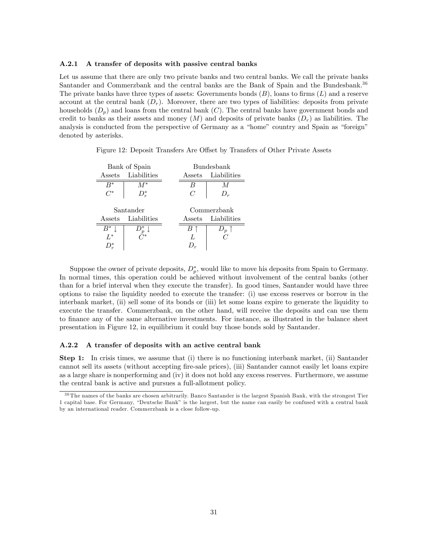#### A.2.1 A transfer of deposits with passive central banks

Let us assume that there are only two private banks and two central banks. We call the private banks Santander and Commerzbank and the central banks are the Bank of Spain and the Bundesbank.<sup>36</sup> The private banks have three types of assets: Governments bonds  $(B)$ , loans to firms  $(L)$  and a reserve account at the central bank  $(D_r)$ . Moreover, there are two types of liabilities: deposits from private households  $(D_n)$  and loans from the central bank  $(C)$ . The central banks have government bonds and credit to banks as their assets and money  $(M)$  and deposits of private banks  $(D<sub>r</sub>)$  as liabilities. The analysis is conducted from the perspective of Germany as a "home" country and Spain as "foreign" denoted by asterisks.

Figure 12: Deposit Transfers Are Offset by Transfers of Other Private Assets

| Bank of Spain |                                                                          | Bundesbank     |                |  |
|---------------|--------------------------------------------------------------------------|----------------|----------------|--|
| Assets        | Liabilities                                                              | Assets         | Liabilities    |  |
| $B^*$         | $M^*$                                                                    | В              | M              |  |
| $C^*$         | $D_r^*$                                                                  | $\overline{C}$ | $D_r$          |  |
|               |                                                                          |                |                |  |
| Santander     |                                                                          | Commerzbank    |                |  |
|               |                                                                          |                |                |  |
| Assets        | Liabilities                                                              | Assets         | Liabilities    |  |
| $B^*$         |                                                                          |                | $D_p \uparrow$ |  |
| $L^*$         | $D_{\overline{\mathbb{F}}_{\mathbb{Z}\ast}}^{\overline{\ast}}\downarrow$ | L              |                |  |
|               |                                                                          |                |                |  |

Suppose the owner of private deposits,  $D_p^*$ , would like to move his deposits from Spain to Germany. In normal times, this operation could be achieved without involvement of the central banks (other than for a brief interval when they execute the transfer). In good times, Santander would have three options to raise the liquidity needed to execute the transfer: (i) use excess reserves or borrow in the interbank market, (ii) sell some of its bonds or (iii) let some loans expire to generate the liquidity to execute the transfer. Commerzbank, on the other hand, will receive the deposits and can use them to Önance any of the same alternative investments. For instance, as illustrated in the balance sheet presentation in Figure 12, in equilibrium it could buy those bonds sold by Santander.

#### A.2.2 A transfer of deposits with an active central bank

Step 1: In crisis times, we assume that (i) there is no functioning interbank market, (ii) Santander cannot sell its assets (without accepting Öre-sale prices), (iii) Santander cannot easily let loans expire as a large share is nonperforming and (iv) it does not hold any excess reserves. Furthermore, we assume the central bank is active and pursues a full-allotment policy.

<sup>&</sup>lt;sup>36</sup> The names of the banks are chosen arbitrarily. Banco Santander is the largest Spanish Bank, with the strongest Tier 1 capital base. For Germany, "Deutsche Bank" is the largest, but the name can easily be confused with a central bank by an international reader. Commerzbank is a close follow-up.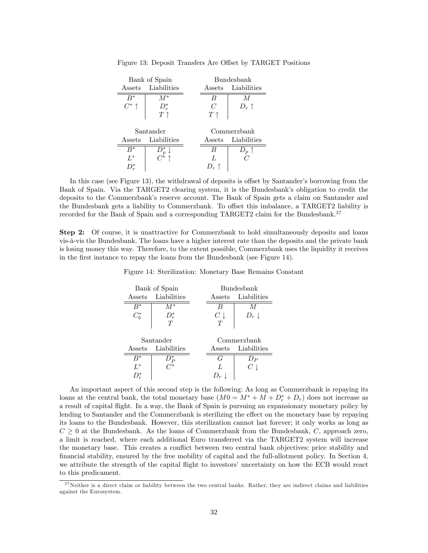| Bank of Spain |                                      | Bundesbank     |                |
|---------------|--------------------------------------|----------------|----------------|
| Assets        | Liabilities                          | Assets         | Liabilities    |
| $B^*$         | $M^*$                                | B              | M              |
| $C^*$ ↑       | $D_r^*$                              | C              | $D_r \uparrow$ |
|               | $T \uparrow$                         | $T \uparrow$   |                |
|               |                                      |                |                |
| Santander     |                                      | Commerzbank    |                |
| Assets        | Liabilities                          | Assets         | Liabilities    |
| $B^*$         | $D_p^* \downarrow$<br>$C^* \uparrow$ | B              | $D_p \uparrow$ |
| $L^*$         |                                      | $\overline{L}$ | C              |
| $D^*$         |                                      | $D_r$ î        |                |

Figure 13: Deposit Transfers Are Offset by TARGET Positions

In this case (see Figure 13), the withdrawal of deposits is offset by Santander's borrowing from the Bank of Spain. Via the TARGET2 clearing system, it is the Bundesbank's obligation to credit the deposits to the Commerzbank's reserve account. The Bank of Spain gets a claim on Santander and the Bundesbank gets a liability to Commerzbank. To offset this imbalance, a TARGET2 liability is recorded for the Bank of Spain and a corresponding TARGET2 claim for the Bundesbank.<sup>37</sup>

Step 2: Of course, it is unattractive for Commerzbank to hold simultaneously deposits and loans vis-à-vis the Bundesbank. The loans have a higher interest rate than the deposits and the private bank is losing money this way. Therefore, to the extent possible, Commerzbank uses the liquidity it receives in the first instance to repay the loans from the Bundesbank (see Figure 14).

Figure 14: Sterilization: Monetary Base Remains Constant

| Bank of Spain |                    | Bundesbank     |                    |
|---------------|--------------------|----------------|--------------------|
| Assets        | Liabilities        | Assets         | Liabilities        |
| $B^*$         | $M^*$              | B              | M                  |
| $C_b^*$       | $D_r^*$            | $C\downarrow$  | $D_r \downarrow$   |
|               | T                  |                |                    |
|               |                    |                |                    |
|               |                    |                |                    |
|               | Santander          |                | Commerzbank        |
|               | Assets Liabilities |                | Assets Liabilities |
| $B^*$         |                    | G              | $D_P$              |
| $L^*$         | $D_P^*$            | $\overline{L}$ | $C\perp$           |

An important aspect of this second step is the following: As long as Commerzbank is repaying its loans at the central bank, the total monetary base  $(M0 = M^* + M + D_r^* + D_r)$  does not increase as a result of capital áight. In a way, the Bank of Spain is pursuing an expansionary monetary policy by lending to Santander and the Commerzbank is sterilizing the effect on the monetary base by repaying its loans to the Bundesbank. However, this sterilization cannot last forever; it only works as long as  $C \geq 0$  at the Bundesbank. As the loans of Commerzbank from the Bundesbank, C, approach zero, a limit is reached, where each additional Euro transferred via the TARGET2 system will increase the monetary base. This creates a conflict between two central bank objectives: price stability and financial stability, ensured by the free mobility of capital and the full-allotment policy. In Section 4, we attribute the strength of the capital flight to investors' uncertainty on how the ECB would react to this predicament.

 $37$  Neither is a direct claim or liability between the two central banks. Rather, they are indirect claims and liabilities against the Eurosystem.